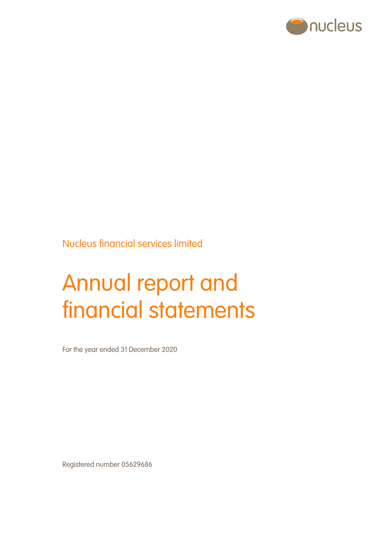

Nucleus financial services limited

# Annual report and financial statements

For the year ended 31 December 2020

Registered number 05629686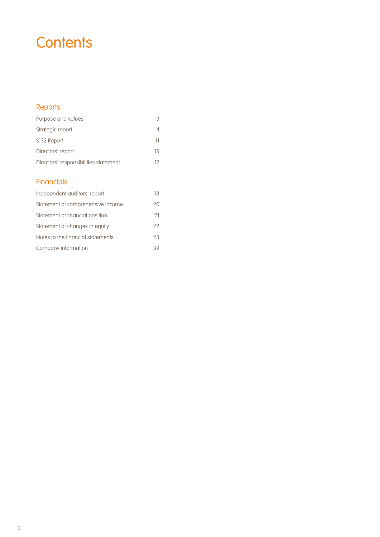# **Contents**

# Reports

| Purpose and values                    |    |
|---------------------------------------|----|
| Strategic report                      |    |
| S172 Report                           | ш  |
| Directors' report                     | 15 |
| Directors' responsibilities statement |    |

# **Financials**

| Independent auditors' report      | 18 |
|-----------------------------------|----|
| Statement of comprehensive income | 20 |
| Statement of financial position   | 21 |
| Statement of changes in equity    | 22 |
| Notes to the financial statements | 23 |
| Company information               | 39 |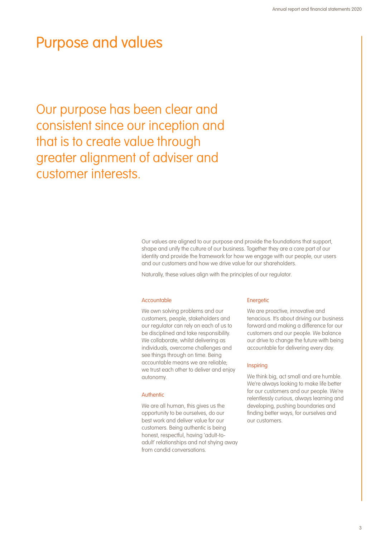# Purpose and values

Our purpose has been clear and consistent since our inception and that is to create value through greater alignment of adviser and customer interests.

> Our values are aligned to our purpose and provide the foundations that support, shape and unify the culture of our business. Together they are a core part of our identity and provide the framework for how we engage with our people, our users and our customers and how we drive value for our shareholders.

Naturally, these values align with the principles of our regulator.

#### Accountable

We own solving problems and our customers, people, stakeholders and our regulator can rely on each of us to be disciplined and take responsibility. We collaborate, whilst delivering as individuals, overcome challenges and see things through on time. Being accountable means we are reliable; we trust each other to deliver and enjoy autonomy.

#### **Authentic**

We are all human, this gives us the opportunity to be ourselves, do our best work and deliver value for our customers. Being authentic is being honest, respectful, having 'adult-toadult' relationships and not shying away from candid conversations.

#### **Energetic**

We are proactive, innovative and tenacious. It's about driving our business forward and making a difference for our customers and our people. We balance our drive to change the future with being accountable for delivering every day.

#### **Inspiring**

We think big, act small and are humble. We're always looking to make life better for our customers and our people. We're relentlessly curious, always learning and developing, pushing boundaries and finding better ways, for ourselves and our customers.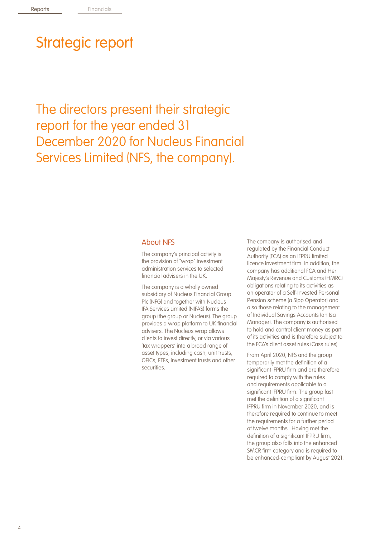The directors present their strategic report for the year ended 31 December 2020 for Nucleus Financial Services Limited (NFS, the company).

### About NFS

The company's principal activity is the provision of "wrap" investment administration services to selected financial advisers in the UK.

The company is a wholly owned subsidiary of Nucleus Financial Group Plc (NFG) and together with Nucleus IFA Services Limited (NIFAS) forms the group (the group or Nucleus). The group provides a wrap platform to UK financial advisers. The Nucleus wrap allows clients to invest directly, or via various 'tax wrappers' into a broad range of asset types, including cash, unit trusts, OEICs, ETFs, investment trusts and other **securities** 

The company is authorised and regulated by the Financial Conduct Authority (FCA) as an IFPRU limited licence investment firm. In addition, the company has additional FCA and Her Majesty's Revenue and Customs (HMRC) obligations relating to its activities as an operator of a Self-Invested Personal Pension scheme (a Sipp Operator) and also those relating to the management of Individual Savings Accounts (an Isa Manager). The company is authorised to hold and control client money as part of its activities and is therefore subject to the FCA's client asset rules (Cass rules).

From April 2020, NFS and the group temporarily met the definition of a significant IFPRU firm and are therefore required to comply with the rules and requirements applicable to a significant IFPRU firm. The group last met the definition of a significant IFPRU firm in November 2020, and is therefore required to continue to meet the requirements for a further period of twelve months. Having met the definition of a significant IFPRU firm, the group also falls into the enhanced SMCR firm category and is required to be enhanced-compliant by August 2021.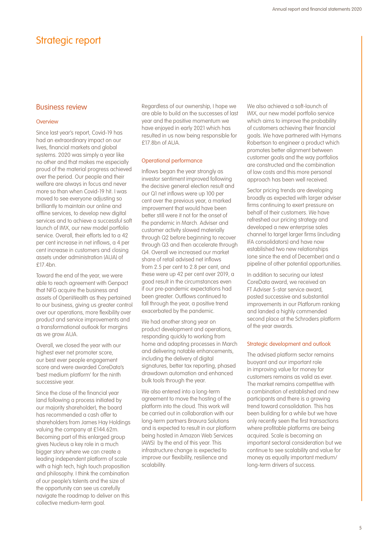#### Business review

#### **Overview**

Since last year's report, Covid-19 has had an extraordinary impact on our lives, financial markets and global systems. 2020 was simply a year like no other and that makes me especially proud of the material progress achieved over the period. Our people and their welfare are always in focus and never more so than when Covid-19 hit. I was moved to see everyone adjusting so brilliantly to maintain our online and offline services, to develop new digital services and to achieve a successful soft launch of IMX, our new model portfolio service. Overall, their efforts led to a 42 per cent increase in net inflows, a 4 per cent increase in customers and closing assets under administration (AUA) of £17.4bn.

Toward the end of the year, we were able to reach agreement with Genpact that NFG acquire the business and assets of OpenWealth as they pertained to our business, giving us greater control over our operations, more flexibility over product and service improvements and a transformational outlook for margins as we grow AUA.

Overall, we closed the year with our highest ever net promoter score, our best ever people engagement score and were awarded CoreData's 'best medium platform' for the ninth successive year.

Since the close of the financial year (and following a process initiated by our majority shareholder), the board has recommended a cash offer to shareholders from James Hay Holdings valuing the company at £144.62m. Becoming part of this enlarged group gives Nucleus a key role in a much bigger story where we can create a leading independent platform of scale with a high tech, high touch proposition and philosophy. I think the combination of our people's talents and the size of the opportunity can see us carefully navigate the roadmap to deliver on this collective medium-term goal.

Regardless of our ownership, I hope we are able to build on the successes of last year and the positive momentum we have enjoyed in early 2021 which has resulted in us now being responsible for £17.8bn of AUA.

#### Operational performance

Inflows began the year strongly as investor sentiment improved following the decisive general election result and our Q1 net inflows were up 100 per cent over the previous year, a marked improvement that would have been better still were it not for the onset of the pandemic in March. Adviser and customer activity slowed materially through Q2 before beginning to recover through Q3 and then accelerate through Q4. Overall we increased our market share of retail advised net inflows from 2.5 per cent to 2.8 per cent, and these were up 42 per cent over 2019, a good result in the circumstances even if our pre-pandemic expectations had been greater. Outflows continued to fall through the year, a positive trend exacerbated by the pandemic.

We had another strong year on product development and operations, responding quickly to working from home and adapting processes in March and delivering notable enhancements, including the delivery of digital signatures, better tax reporting, phased drawdown automation and enhanced bulk tools through the year.

We also entered into a long-term agreement to move the hosting of the platform into the cloud. This work will be carried out in collaboration with our long-term partners Bravura Solutions and is expected to result in our platform being hosted in Amazon Web Services (AWS) by the end of this year. This infrastructure change is expected to improve our flexibility, resilience and scalability.

We also achieved a soft-launch of IMX, our new model portfolio service which aims to improve the probability of customers achieving their financial goals. We have partnered with Hymans Robertson to engineer a product which promotes better alignment between customer goals and the way portfolios are constructed and the combination of low costs and this more personal approach has been well received.

Sector pricing trends are developing broadly as expected with larger adviser firms continuing to exert pressure on behalf of their customers. We have refreshed our pricing strategy and developed a new enterprise sales channel to target larger firms (including IFA consolidators) and have now established two new relationships (one since the end of December) and a pipeline of other potential opportunities.

In addition to securing our latest CoreData award, we received an FT Adviser 5-star service award, posted successive and substantial improvements in our Platforum ranking and landed a highly commended second place at the Schroders platform of the year awards.

#### Strategic development and outlook

The advised platform sector remains buoyant and our important role in improving value for money for customers remains as valid as ever. The market remains competitive with a combination of established and new participants and there is a growing trend toward consolidation. This has been building for a while but we have only recently seen the first transactions where profitable platforms are being acquired. Scale is becoming an important sectoral consideration but we continue to see scalability and value for money as equally important medium/ long-term drivers of success.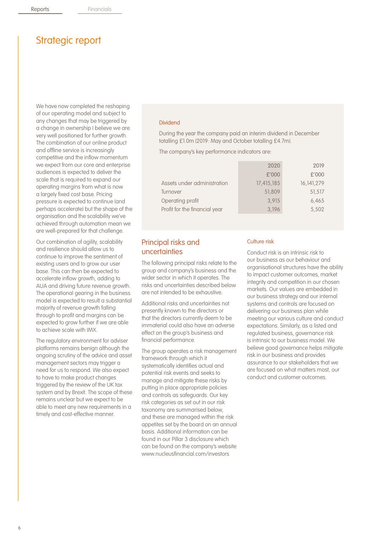We have now completed the reshaping of our operating model and subject to any changes that may be triggered by a change in ownership I believe we are very well positioned for further growth. The combination of our online product and offline service is increasingly competitive and the inflow momentum we expect from our core and enterprise audiences is expected to deliver the scale that is required to expand our operating margins from what is now a largely fixed cost base. Pricing pressure is expected to continue (and perhaps accelerate) but the shape of the organisation and the scalability we've achieved through automation mean we are well-prepared for that challenge.

Our combination of agility, scalability and resilience should allow us to continue to improve the sentiment of existing users and to grow our user base. This can then be expected to accelerate inflow growth, adding to AUA and driving future revenue growth. The operational gearing in the business model is expected to result a substantial majority of revenue growth falling through to profit and margins can be expected to grow further if we are able to achieve scale with IMX.

The regulatory environment for adviser platforms remains benign although the ongoing scrutiny of the advice and asset management sectors may trigger a need for us to respond. We also expect to have to make product changes triggered by the review of the UK tax system and by Brexit. The scope of these remains unclear but we expect to be able to meet any new requirements in a timely and cost-effective manner.

#### Dividend

During the year the company paid an interim dividend in December totalling £1.0m (2019: May and October totalling £4.7m).

The company's key performance indicators are:

| 2019         |
|--------------|
| £'000        |
| 16, 141, 279 |
| 51,517       |
| 6,465        |
| 5,502        |
|              |

### Principal risks and uncertainties

The following principal risks relate to the group and company's business and the wider sector in which it operates. The risks and uncertainties described below are not intended to be exhaustive.

Additional risks and uncertainties not presently known to the directors or that the directors currently deem to be immaterial could also have an adverse effect on the group's business and financial performance.

The group operates a risk management framework through which it systematically identifies actual and potential risk events and seeks to manage and mitigate these risks by putting in place appropriate policies and controls as safeguards. Our key risk categories as set out in our risk taxonomy are summarised below, and these are managed within the risk appetites set by the board on an annual basis. Additional information can be found in our Pillar 3 disclosure which can be found on the company's website www.nucleusfinancial.com/investors

#### Culture risk

Conduct risk is an intrinsic risk to our business as our behaviour and organisational structures have the ability to impact customer outcomes, market integrity and competition in our chosen markets. Our values are embedded in our business strategy and our internal systems and controls are focused on delivering our business plan while meeting our various culture and conduct expectations. Similarly, as a listed and regulated business, governance risk is intrinsic to our business model. We believe good governance helps mitigate risk in our business and provides assurance to our stakeholders that we are focused on what matters most, our conduct and customer outcomes.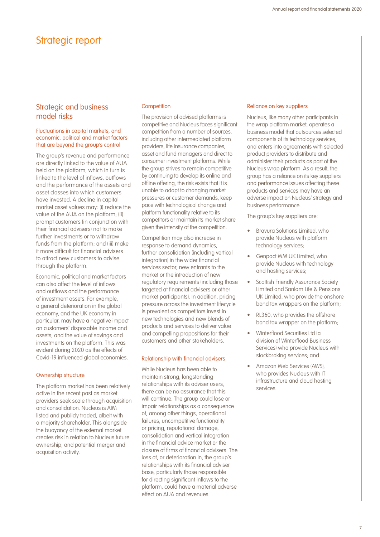## Strategic and business model risks

#### Fluctuations in capital markets, and economic, political and market factors that are beyond the group's control

The group's revenue and performance are directly linked to the value of AUA held on the platform, which in turn is linked to the level of inflows, outflows and the performance of the assets and asset classes into which customers have invested. A decline in capital market asset values may: (i) reduce the value of the AUA on the platform; (ii) prompt customers (in conjunction with their financial advisers) not to make further investments or to withdraw funds from the platform; and (iii) make it more difficult for financial advisers to attract new customers to advise through the platform.

Economic, political and market factors can also affect the level of inflows and outflows and the performance of investment assets. For example, a general deterioration in the global economy, and the UK economy in particular, may have a negative impact on customers' disposable income and assets, and the value of savings and investments on the platform. This was evident during 2020 as the effects of Covid-19 influenced global economies.

#### Ownership structure

The platform market has been relatively active in the recent past as market providers seek scale through acquisition and consolidation. Nucleus is AIM listed and publicly traded, albeit with a majority shareholder. This alongside the buoyancy of the external market creates risk in relation to Nucleus future ownership, and potential merger and acquisition activity.

#### **Competition**

The provision of advised platforms is competitive and Nucleus faces significant competition from a number of sources, including other intermediated platform providers, life insurance companies, asset and fund managers and direct to consumer investment platforms. While the group strives to remain competitive by continuing to develop its online and offline offering, the risk exists that it is unable to adapt to changing market pressures or customer demands, keep pace with technological change and platform functionality relative to its competitors or maintain its market share given the intensity of the competition.

Competition may also increase in response to demand dynamics, further consolidation (including vertical integration) in the wider financial services sector, new entrants to the market or the introduction of new regulatory requirements (including those targeted at financial advisers or other market participants). In addition, pricing pressure across the investment lifecycle is prevalent as competitors invest in new technologies and new blends of products and services to deliver value and compelling propositions for their customers and other stakeholders.

#### Relationship with financial advisers

While Nucleus has been able to maintain strong, longstanding relationships with its adviser users, there can be no assurance that this will continue. The group could lose or impair relationships as a consequence of, among other things, operational failures, uncompetitive functionality or pricing, reputational damage, consolidation and vertical integration in the financial advice market or the closure of firms of financial advisers. The loss of, or deterioration in, the group's relationships with its financial adviser base, particularly those responsible for directing significant inflows to the platform, could have a material adverse effect on AUA and revenues.

#### Reliance on key suppliers

Nucleus, like many other participants in the wrap platform market, operates a business model that outsources selected components of its technology services, and enters into agreements with selected product providers to distribute and administer their products as part of the Nucleus wrap platform. As a result, the group has a reliance on its key suppliers and performance issues affecting these products and services may have an adverse impact on Nucleus' strategy and business performance.

The group's key suppliers are:

- Bravura Solutions Limited, who provide Nucleus with platform technology services;
- Genpact WM UK Limited, who provide Nucleus with technology and hosting services;
- Scottish Friendly Assurance Society Limited and Sanlam Life & Pensions UK Limited, who provide the onshore bond tax wrappers on the platform;
- RL360, who provides the offshore bond tax wrapper on the platform;
- Winterflood Securities Ltd (a division of Winterflood Business Services) who provide Nucleus with stockbroking services; and
- Amazon Web Services (AWS), who provides Nucleus with IT infrastructure and cloud hosting services.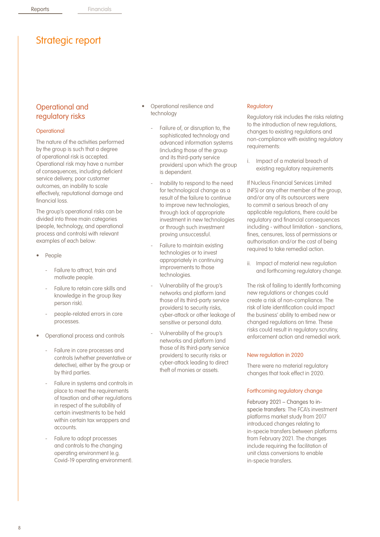## Operational and regulatory risks

#### **Operational**

The nature of the activities performed by the group is such that a degree of operational risk is accepted. Operational risk may have a number of consequences, including deficient service delivery, poor customer outcomes, an inability to scale effectively, reputational damage and financial loss.

The group's operational risks can be divided into three main categories (people, technology, and operational process and controls) with relevant examples of each below:

- People
	- Failure to attract, train and motivate people.
	- Failure to retain core skills and knowledge in the group (key person risk).
	- people-related errors in core processes.
- Operational process and controls
	- Failure in core processes and controls (whether preventative or detective), either by the group or by third parties.
	- Failure in systems and controls in place to meet the requirements of taxation and other regulations in respect of the suitability of certain investments to be held within certain tax wrappers and accounts.
	- Failure to adopt processes and controls to the changing operating environment (e.g. Covid-19 operating environment).
- Operational resilience and technology
	- Failure of, or disruption to, the sophisticated technology and advanced information systems (including those of the group and its third-party service providers) upon which the group is dependent.
	- Inability to respond to the need for technological change as a result of the failure to continue to improve new technologies, through lack of appropriate investment in new technologies or through such investment proving unsuccessful.
	- Failure to maintain existing technologies or to invest appropriately in continuing improvements to those technologies.
	- Vulnerability of the group's networks and platform (and those of its third-party service providers) to security risks, cyber-attack or other leakage of sensitive or personal data.
	- Vulnerability of the group's networks and platform (and those of its third-party service providers) to security risks or cyber-attack leading to direct theft of monies or assets.

#### **Regulatory**

Regulatory risk includes the risks relating to the introduction of new regulations, changes to existing regulations and non-compliance with existing regulatory requirements:

i. Impact of a material breach of existing regulatory requirements

If Nucleus Financial Services Limited (NFS) or any other member of the group, and/or any of its outsourcers were to commit a serious breach of any applicable regulations, there could be regulatory and financial consequences including - without limitation - sanctions, fines, censures, loss of permissions or authorisation and/or the cost of being required to take remedial action.

ii. Impact of material new regulation and forthcoming regulatory change.

The risk of failing to identify forthcoming new regulations or changes could create a risk of non-compliance. The risk of late identification could impact the business' ability to embed new or changed regulations on time. These risks could result in regulatory scrutiny, enforcement action and remedial work.

#### New regulation in 2020

There were no material regulatory changes that took effect in 2020.

#### Forthcoming regulatory change

February 2021 – Changes to inspecie transfers: The FCA's investment platforms market study from 2017 introduced changes relating to in-specie transfers between platforms from February 2021. The changes include requiring the facilitation of unit class conversions to enable in-specie transfers.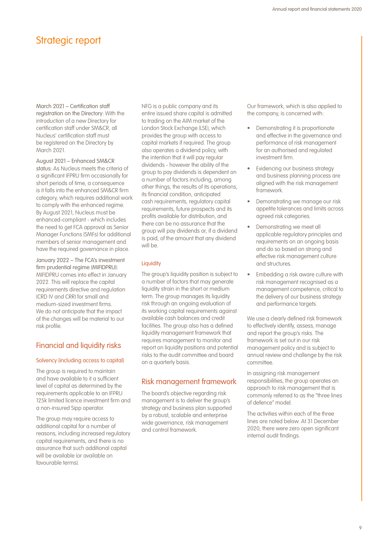March 2021 – Certification staff registration on the Directory: With the introduction of a new Directory for certification staff under SM&CR, all Nucleus' certification staff must be registered on the Directory by March 2021.

August 2021 – Enhanced SM&CR status: As Nucleus meets the criteria of a significant IFPRU firm occasionally for short periods of time, a consequence is it falls into the enhanced SM&CR firm category, which requires additional work to comply with the enhanced regime. By August 2021, Nucleus must be enhanced-compliant - which includes the need to get FCA approval as Senior Manager Functions (SMFs) for additional members of senior management and have the required governance in place.

January 2022 – The FCA's investment firm prudential regime (MIFIDPRU): MIFIDPRU comes into effect in January 2022. This will replace the capital requirements directive and regulation (CRD IV and CRR) for small and medium-sized investment firms. We do not anticipate that the impact of the changes will be material to our risk profile.

## Financial and liquidity risks

#### Solvency (including access to capital)

The group is required to maintain and have available to it a sufficient level of capital as determined by the requirements applicable to an IFPRU 125k limited licence investment firm and a non-insured Sipp operator.

The group may require access to additional capital for a number of reasons, including increased regulatory capital requirements, and there is no assurance that such additional capital will be available (or available on favourable terms).

NFG is a public company and its entire issued share capital is admitted to trading on the AIM market of the London Stock Exchange (LSE), which provides the group with access to capital markets if required. The group also operates a dividend policy, with the intention that it will pay regular dividends - however the ability of the group to pay dividends is dependent on a number of factors including, among other things, the results of its operations, its financial condition, anticipated cash requirements, regulatory capital requirements, future prospects and its profits available for distribution, and there can be no assurance that the group will pay dividends or, if a dividend is paid, of the amount that any dividend will be.

#### **Liquidity**

The group's liquidity position is subject to a number of factors that may generate liquidity strain in the short or medium term. The group manages its liquidity risk through an ongoing evaluation of its working capital requirements against available cash balances and credit facilities. The group also has a defined liquidity management framework that requires management to monitor and report on liquidity positions and potential risks to the audit committee and board on a quarterly basis.

## Risk management framework

The board's objective regarding risk management is to deliver the group's strategy and business plan supported by a robust, scalable and enterprise wide governance, risk management and control framework.

Our framework, which is also applied to the company, is concerned with:

- Demonstrating it is proportionate and effective in the governance and performance of risk management for an authorised and regulated investment firm.
- Evidencing our business strategy and business planning process are aligned with the risk management framework.
- Demonstrating we manage our risk appetite tolerances and limits across agreed risk categories.
- Demonstrating we meet all applicable regulatory principles and requirements on an ongoing basis and do so based on strong and effective risk management culture and structures.
- Embedding a risk aware culture with risk management recognised as a management competence, critical to the delivery of our business strategy and performance targets.

We use a clearly defined risk framework to effectively identify, assess, manage and report the group's risks. The framework is set out in our risk management policy and is subject to annual review and challenge by the risk committee.

In assigning risk management responsibilities, the group operates an approach to risk management that is commonly referred to as the "three lines of defence" model.

The activities within each of the three lines are noted below. At 31 December 2020, there were zero open significant internal audit findings.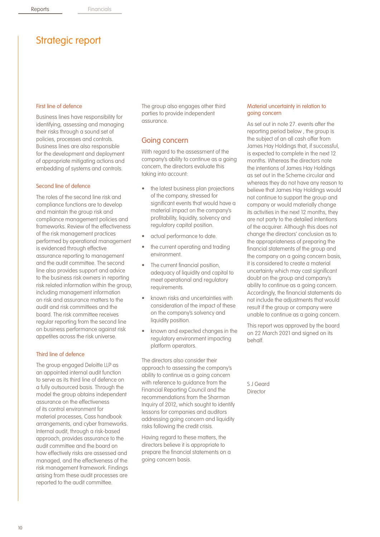#### First line of defence

Business lines have responsibility for identifying, assessing and managing their risks through a sound set of policies, processes and controls. Business lines are also responsible for the development and deployment of appropriate mitigating actions and embedding of systems and controls.

#### Second line of defence

The roles of the second line risk and compliance functions are to develop and maintain the group risk and compliance management policies and frameworks. Review of the effectiveness of the risk management practices performed by operational management is evidenced through effective assurance reporting to management and the audit committee. The second line also provides support and advice to the business risk owners in reporting risk related information within the group, including management information on risk and assurance matters to the audit and risk committees and the board. The risk committee receives regular reporting from the second line on business performance against risk appetites across the risk universe.

#### Third line of defence

The group engaged Deloitte LLP as an appointed internal audit function to serve as its third line of defence on a fully outsourced basis. Through the model the group obtains independent assurance on the effectiveness of its control environment for material processes, Cass handbook arrangements, and cyber frameworks. Internal audit, through a risk-based approach, provides assurance to the audit committee and the board on how effectively risks are assessed and managed, and the effectiveness of the risk management framework. Findings arising from these audit processes are reported to the audit committee.

The group also engages other third parties to provide independent assurance.

#### Going concern

With regard to the assessment of the company's ability to continue as a going concern, the directors evaluate this taking into account:

- the latest business plan projections of the company, stressed for significant events that would have a material impact on the company's profitability, liquidity, solvency and regulatory capital position.
- actual performance to date.
- the current operating and trading environment.
- The current financial position. adequacy of liquidity and capital to meet operational and regulatory requirements.
- known risks and uncertainties with consideration of the impact of these on the company's solvency and liquidity position.
- known and expected changes in the regulatory environment impacting platform operators.

The directors also consider their approach to assessing the company's ability to continue as a going concern with reference to guidance from the Financial Reporting Council and the recommendations from the Sharman Inquiry of 2012, which sought to identify lessons for companies and auditors addressing going concern and liquidity risks following the credit crisis.

Having regard to these matters, the directors believe it is appropriate to prepare the financial statements on a going concern basis.

#### Material uncertainty in relation to going concern

As set out in note 27. events after the reporting period below , the group is the subject of an all cash offer from James Hay Holdings that, if successful, is expected to complete in the next 12 months. Whereas the directors note the intentions of James Hay Holdings as set out in the Scheme circular and whereas they do not have any reason to believe that James Hay Holdings would not continue to support the group and company or would materially change its activities in the next 12 months, they are not party to the detailed intentions of the acquirer. Although this does not change the directors' conclusion as to the appropriateness of preparing the financial statements of the group and the company on a going concern basis, it is considered to create a material uncertainty which may cast significant doubt on the group and company's ability to continue as a going concern. Accordingly, the financial statements do not include the adjustments that would result if the group or company were unable to continue as a going concern.

This report was approved by the board on 22 March 2021 and signed on its behalf.

S J Geard **Director**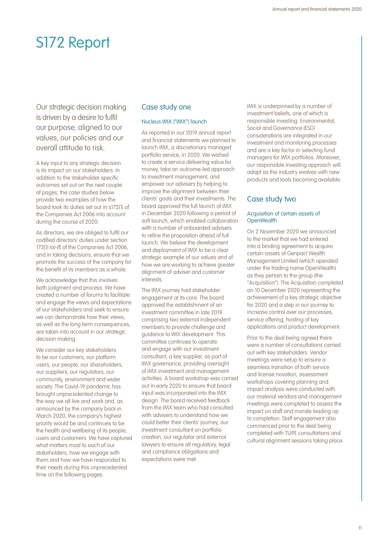# S172 Report

Our strategic decision making is driven by a desire to fulfil our purpose, aligned to our values, our policies and our overall attitude to risk.

A key input to any strategic decision is its impact on our stakeholders. In addition to the stakeholder specific outcomes set out on the next couple of pages, the case studies below provide two examples of how the board took its duties set out in s172(1) of the Companies Act 2006 into account during the course of 2020.

As directors, we are obliged to fulfil our codified directors' duties under section 172(1) (a)-(f) of the Companies Act 2006, and in taking decisions, ensure that we promote the success of the company for the benefit of its members as a whole.

We acknowledge that this involves both judgment and process. We have created a number of forums to facilitate and engage the views and expectations of our stakeholders and seek to ensure we can demonstrate how their views. as well as the long term consequences, are taken into account in our strategic decision making.

We consider our key stakeholders to be our customers, our platform users, our people, our shareholders, our suppliers, our regulators, our community, environment and wider society. The Covid-19 pandemic has brought unprecedented change to the way we all live and work and, as announced by the company back in March 2020, the company's highest priority would be and continues to be the health and wellbeing of its people, users and customers. We have captured what matters most to each of our stakeholders, how we engage with them and how we have responded to their needs during this unprecedented time on the following pages.

## Case study one

#### Nucleus IMX ("IMX") launch

As reported in our 2019 annual report and financial statements we planned to launch IMX, a discretionary managed portfolio service, in 2020. We wished to create a service delivering value for money, take an outcome-led approach to investment management, and empower our advisers by helping to improve the alignment between their clients' goals and their investments. The board approved the full launch of IMX in December 2020 following a period of soft launch, which enabled collaboration with a number of onboarded advisers to refine the proposition ahead of full launch. We believe the development and deployment of IMX to be a clear strategic example of our values and of how we are working to achieve greater alignment of adviser and customer interests.

The IMX journey had stakeholder engagement at its core. The board approved the establishment of an investment committee in late 2019 comprising two external independent members to provide challenge and guidance to IMX development. This committee continues to operate and engage with our investment consultant, a key supplier, as part of IMX governance, providing oversight of IMX investment and management activities. A board workshop was carried out in early 2020 to ensure that board input was incorporated into the IMX design. The board received feedback from the IMX team who had consulted with advisers to understand how we could better their clients' journey, our investment consultant on portfolio creation, our regulator and external lawyers to ensure all regulatory, legal and compliance obligations and expectations were met.

IMX is underpinned by a number of investment beliefs, one of which is responsible investing. Environmental, Social and Governance (ESG) considerations are integrated in our investment and monitoring processes and are a key factor in selecting fund managers for IMX portfolios. Moreover, our responsible investing approach will adapt as the industry evolves with new products and tools becoming available.

### Case study two

#### Acquisition of certain assets of **OpenWealth**

On 2 November 2020 we announced to the market that we had entered into a binding agreement to acquire certain assets of Genpact Wealth Management Limited (which operated under the trading name OpenWealth) as they pertain to the group (the "Acquisition"). The Acquisition completed on 10 December 2020 representing the achievement of a key strategic objective for 2020 and a step in our journey to increase control over our processes, service offering, hosting of key applications and product development.

Prior to the deal being agreed there were a number of consultations carried out with key stakeholders. Vendor meetings were setup to ensure a seamless transition of both service and license novation, assessment workshops covering planning and impact analysis were conducted with our material vendors and management meetings were completed to assess the impact on staff and morale leading up to completion. Staff engagement also commenced prior to the deal being completed with TUPE consultations and cultural alignment sessions taking place.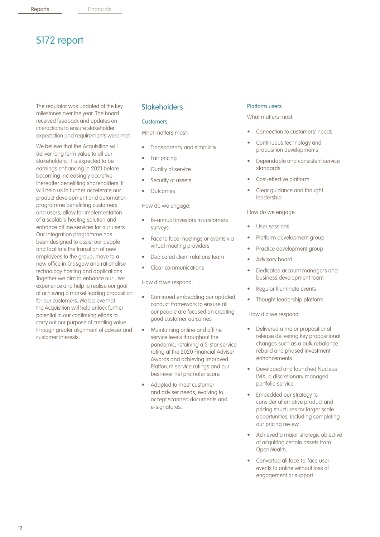# S172 report

The regulator was updated at the key milestones over the year. The board received feedback and updates on interactions to ensure stakeholder expectation and requirements were met.

We believe that the Acquisition will deliver long term value to all our stakeholders. It is expected to be earnings enhancing in 2021 before becoming increasingly accretive thereafter benefitting shareholders. It will help us to further accelerate our product development and automation programme benefitting customers and users, allow for implementation of a scalable hosting solution and enhance offline services for our users. Our integration programme has been designed to assist our people and facilitate the transition of new employees to the group, move to a new office in Glasgow and rationalise technology hosting and applications. Together we aim to enhance our user experience and help to realise our goal of achieving a market leading proposition for our customers. We believe that the Acquisition will help unlock further potential in our continuing efforts to carry out our purpose of creating value through greater alignment of adviser and customer interests.

### **Stakeholders**

#### **Customers**

What matters most:

- Transparency and simplicity
- Fair pricing
- Quality of service
- Security of assets
- **Outcomes**

How do we engage:

- Bi-annual investors in customers surveys
- Face to face meetings or events via virtual meeting providers
- Dedicated client relations team
- Clear communications

#### How did we respond:

- Continued embedding our updated conduct framework to ensure all our people are focused on creating good customer outcomes
- Maintaining online and offline service levels throughout the pandemic, retaining a 5-star service rating at the 2020 Financial Adviser Awards and achieving improved Platforum service ratings and our best-ever net promoter score
- Adapted to meet customer and adviser needs, evolving to accept scanned documents and e-signatures.

#### Platform users

What matters most-

- Connection to customers' needs
- Continuous technology and proposition developments
- Dependable and consistent service standards
- Cost-effective platform
- Clear guidance and thought leadership

#### How do we engage:

- User sessions
- Platform development group
- Practice development group
- Advisory board
- Dedicated account managers and business development team
- Regular Illuminate events
- Thought leadership platform

How did we respond:

- Delivered a major propositional release delivering key propositional changes such as a bulk rebalance rebuild and phased investment enhancements.
- Developed and launched Nucleus IMX, a discretionary managed portfolio service
- Embedded our strategy to consider alternative product and pricing structures for larger scale opportunities, including completing our pricing review.
- Achieved a major strategic objective of acquiring certain assets from OpenWealth.
- Converted all face-to-face user events to online without loss of engagement or support.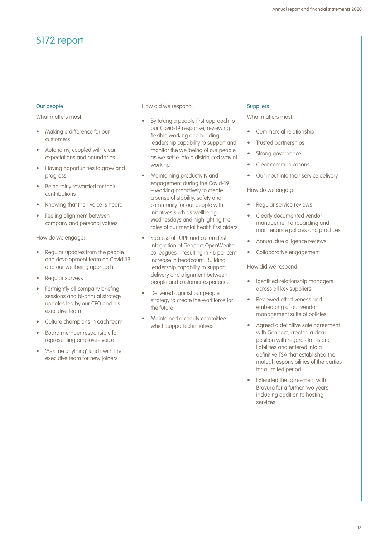# S172 report

#### Our people

What matters most-

- Making a difference for our customers
- Autonomy, coupled with clear expectations and boundaries
- Having opportunities to grow and progress
- Being fairly rewarded for their contributions
- Knowing that their voice is heard
- Feeling alignment between company and personal values

How do we engage:

- Regular updates from the people and development team on Covid-19 and our wellbeing approach
- Regular surveys
- Fortnightly all company briefing sessions and bi-annual strategy updates led by our CEO and his executive team
- Culture champions in each team
- Board member responsible for representing employee voice
- 'Ask me anything' lunch with the executive team for new joiners

How did we respond:

- By taking a people first approach to our Covid-19 response, reviewing flexible working and building leadership capability to support and monitor the wellbeing of our people as we settle into a distributed way of working
- Maintaining productivity and engagement during the Covid-19 – working proactively to create a sense of stability, safety and community for our people with initiatives such as wellbeing Wednesdays and highlighting the roles of our mental health first aiders
- Successful TUPE and culture first integration of Genpact OpenWealth colleagues – resulting in 46 per cent increase in headcount. Building leadership capability to support delivery and alignment between people and customer experience
- Delivered against our people strategy to create the workforce for the future
- Maintained a charity committee which supported initiatives

#### **Suppliers**

What matters most-

- Commercial relationship
- Trusted partnerships
- Strong governance
- Clear communications
- Our input into their service delivery

#### How do we engage:

- Regular service reviews
- Clearly documented vendor management onboarding and maintenance policies and practices
- Annual due diligence reviews
- Collaborative engagement

How did we respond:

- Identified relationship managers across all key suppliers
- Reviewed effectiveness and embedding of our vendor management suite of policies.
- Agreed a definitive sale agreement with Genpact, created a clear position with regards to historic liabilities and entered into a definitive TSA that established the mutual responsibilities of the parties for a limited period
- Extended the agreement with Bravura for a further two years including addition to hosting services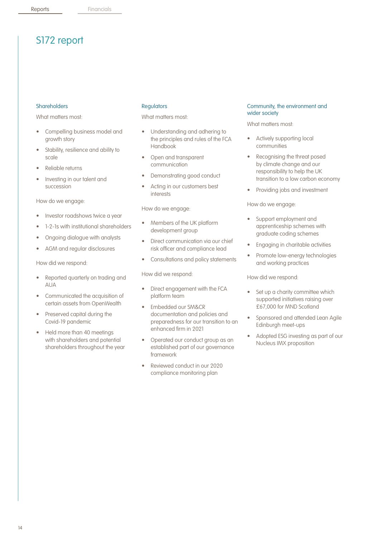# S172 report

#### Shareholders

What matters most-

- Compelling business model and growth story
- Stability, resilience and ability to scale
- Reliable returns
- Investing in our talent and succession

How do we engage:

- Investor roadshows twice a year
- 1-2-1s with institutional shareholders
- Ongoing dialogue with analysts
- AGM and regular disclosures

How did we respond:

- Reported quarterly on trading and AUA
- Communicated the acquisition of certain assets from OpenWealth
- Preserved capital during the Covid-19 pandemic
- Held more than 40 meetings with shareholders and potential shareholders throughout the year

#### **Regulators**

What matters most:

- Understanding and adhering to the principles and rules of the FCA Handbook
- Open and transparent communication
- Demonstrating good conduct
- Acting in our customers best interests

How do we engage:

- Members of the UK platform development group
- Direct communication via our chief risk officer and compliance lead
- Consultations and policy statements

How did we respond:

- Direct engagement with the FCA platform team
- Embedded our SM&CR documentation and policies and preparedness for our transition to an enhanced firm in 2021
- Operated our conduct group as an established part of our governance framework
- Reviewed conduct in our 2020 compliance monitoring plan

#### Community, the environment and wider society

What matters most:

- Actively supporting local communities
- Recognising the threat posed by climate change and our responsibility to help the UK transition to a low carbon economy
- Providing jobs and investment

How do we engage:

- Support employment and apprenticeship schemes with graduate coding schemes
- Engaging in charitable activities
- Promote low-energy technologies and working practices

How did we respond:

- Set up a charity committee which supported initiatives raising over £67,000 for MND Scotland
- Sponsored and attended Lean Agile Edinburgh meet-ups
- Adopted ESG investing as part of our Nucleus IMX proposition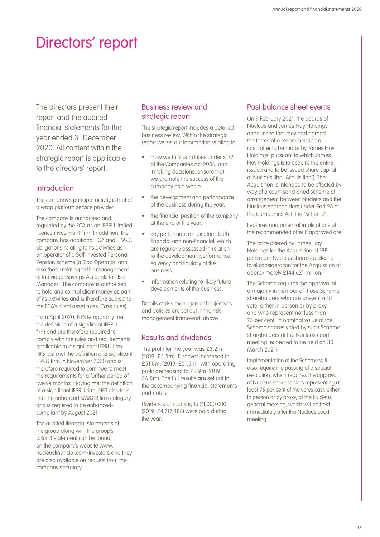# Directors' report

The directors present their report and the audited financial statements for the year ended 31 December 2020. All content within the strategic report is applicable to the directors' report.

### **Introduction**

The company's principal activity is that of a wrap platform service provider.

The company is authorised and regulated by the FCA as an IFPRU limited licence investment firm. In addition, the company has additional FCA and HMRC obligations relating to its activities as an operator of a Self-Invested Personal Pension scheme (a Sipp Operator) and also those relating to the management of Individual Savings Accounts (an Isa Manager). The company is authorised to hold and control client money as part of its activities and is therefore subject to the FCA's client asset rules (Cass rules).

From April 2020, NFS temporarily met the definition of a significant IFPRU firm and are therefore required to comply with the rules and requirements applicable to a significant IFPRU firm. NFS last met the definition of a significant IFPRU firm in November 2020 and is therefore required to continue to meet the requirements for a further period of twelve months. Having met the definition of a significant IFPRU firm, NFS also falls into the enhanced SM&CR firm category and is required to be enhancedcompliant by August 2021.

The audited financial statements of the group along with the group's pillar 3 statement can be found on the company's website www. nucleusfinancial.com/investors and they are also available on request from the company secretary.

## Business review and strategic report

The strategic report includes a detailed business review. Within the strategic report we set out information relating to:

- How we fulfil our duties under s172 of the Companies Act 2006, and in taking decisions, ensure that we promote the success of the company as a whole
- the development and performance of the business during the year.
- the financial position of the company at the end of the year.
- key performance indicators, both financial and non-financial, which are regularly assessed in relation to the development, performance, solvency and liquidity of the business.
- information relating to likely future developments of the business.

Details of risk management objectives and policies are set out in the risk management framework above.

## Results and dividends

The profit for the year was £3.2m (2019: £5.5m). Turnover increased to £51.8m, (2019: £51.5m), with operating profit decreasing to £3.9m (2019: £6.5m). The full results are set out in the accompanying financial statements and notes.

Dividends amounting to £1,000,000 (2019: £4,717,488) were paid during the year.

## Post balance sheet events

On 9 February 2021, the boards of Nucleus and James Hay Holdings announced that they had agreed the terms of a recommended all cash offer to be made by James Hay Holdings, pursuant to which James Hay Holdings is to acquire the entire issued and to be issued share capital of Nucleus (the "Acquisition"). The Acquisition is intended to be effected by way of a court-sanctioned scheme of arrangement between Nucleus and the Nucleus shareholders under Part 26 of the Companies Act (the "Scheme").

Features and potential implications of the recommended offer if approved are:

The price offered by James Hay Holdings for the Acquisition of 188 pence per Nucleus share equates to total consideration for the Acquisition of approximately £144.621 million.

The Scheme requires the approval of a majority in number of those Scheme shareholders who are present and vote, either in person or by proxy, and who represent not less than 75 per cent, in nominal value of the Scheme shares voted by such Scheme shareholders at the Nucleus court meeting (expected to be held on 30 March 2021).

Implementation of the Scheme will also require the passing of a special resolution, which requires the approval of Nucleus shareholders representing at least 75 per cent of the votes cast, either in person or by proxy, at the Nucleus general meeting, which will be held immediately after the Nucleus court meeting.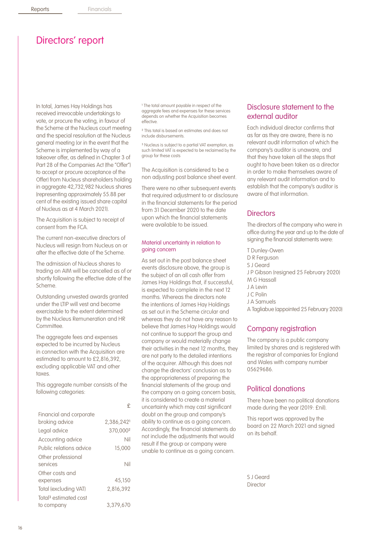# Directors' report

In total, James Hay Holdings has received irrevocable undertakings to vote, or procure the voting, in favour of the Scheme at the Nucleus court meeting and the special resolution at the Nucleus general meeting (or in the event that the Scheme is implemented by way of a takeover offer, as defined in Chapter 3 of Part 28 of the Companies Act (the "Offer") to accept or procure acceptance of the Offer) from Nucleus shareholders holding in aggregate 42,732,982 Nucleus shares (representing approximately 55.88 per cent of the existing issued share capital of Nucleus as at 4 March 2021).

The Acquisition is subject to receipt of consent from the FCA.

The current non-executive directors of Nucleus will resign from Nucleus on or after the effective date of the Scheme.

The admission of Nucleus shares to trading on AIM will be cancelled as of or shortly following the effective date of the Scheme.

Outstanding unvested awards granted under the LTIP will vest and become exercisable to the extent determined by the Nucleus Remuneration and HR Committee.

The aggregate fees and expenses expected to be incurred by Nucleus in connection with the Acquisition are estimated to amount to £2,816,392, excluding applicable VAT and other taxes.

This aggregate number consists of the following categories:

|                                   | £         |
|-----------------------------------|-----------|
| Financial and corporate           |           |
| broking advice                    | 2.386.242 |
| Legal advice                      | 370,0002  |
| Accounting advice                 | Nil       |
| Public relations advice           | 15,000    |
| Other professional                |           |
| services                          | Nil       |
| Other costs and                   |           |
| expenses                          | 45,150    |
| Total (excluding VAT)             | 2,816,392 |
| Total <sup>3</sup> estimated cost |           |
| to company                        | 3.379.670 |

<sup>1</sup> The total amount payable in respect of the aggregate fees and expenses for these services depends on whether the Acquisition becomes effective.

² This total is based on estimates and does not include disbursements.

³ Nucleus is subject to a partial VAT exemption, as such limited VAT is expected to be reclaimed by the group for these costs

The Acquisition is considered to be a non adjusting post balance sheet event.

There were no other subsequent events that required adjustment to or disclosure in the financial statements for the period from 31 December 2020 to the date upon which the financial statements were available to be issued.

#### Material uncertainty in relation to going concern

As set out in the post balance sheet events disclosure above, the group is the subject of an all cash offer from James Hay Holdings that, if successful, is expected to complete in the next 12 months. Whereas the directors note the intentions of James Hay Holdings as set out in the Scheme circular and whereas they do not have any reason to believe that James Hay Holdings would not continue to support the group and company or would materially change their activities in the next 12 months, they are not party to the detailed intentions of the acquirer. Although this does not change the directors' conclusion as to the appropriateness of preparing the financial statements of the group and the company on a going concern basis, it is considered to create a material uncertainty which may cast significant doubt on the group and company's ability to continue as a going concern. Accordingly, the financial statements do not include the adjustments that would result if the group or company were unable to continue as a going concern.

## Disclosure statement to the external auditor

Each individual director confirms that as far as they are aware, there is no relevant audit information of which the company's auditor is unaware, and that they have taken all the steps that ought to have been taken as a director in order to make themselves aware of any relevant audit information and to establish that the company's auditor is aware of that information.

#### **Directors**

The directors of the company who were in office during the year and up to the date of signing the financial statements were:

T Dunley-Owen D R Ferguson S J Geard J P Gibson (resigned 25 February 2020) M G Hassall J A Levin J C Polin J A Samuels A Tagliabue (appointed 25 February 2020)

### Company registration

The company is a public company limited by shares and is registered with the registrar of companies for England and Wales with company number 05629686.

### Political donations

There have been no political donations made during the year (2019: £nil).

This report was approved by the board on 22 March 2021 and signed on its behalf.

S J Geard **Director**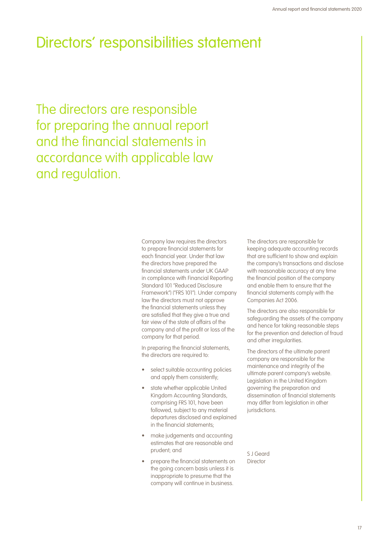# Directors' responsibilities statement

The directors are responsible for preparing the annual report and the financial statements in accordance with applicable law and regulation.

> Company law requires the directors to prepare financial statements for each financial year. Under that law the directors have prepared the financial statements under UK GAAP in compliance with Financial Reporting Standard 101 "Reduced Disclosure Framework") ("FRS 101"). Under company law the directors must not approve the financial statements unless they are satisfied that they give a true and fair view of the state of affairs of the company and of the profit or loss of the company for that period.

In preparing the financial statements, the directors are required to:

- select suitable accounting policies and apply them consistently;
- state whether applicable United Kingdom Accounting Standards, comprising FRS 101, have been followed, subject to any material departures disclosed and explained in the financial statements;
- make judgements and accounting estimates that are reasonable and prudent; and
- prepare the financial statements on the going concern basis unless it is inappropriate to presume that the company will continue in business.

The directors are responsible for keeping adequate accounting records that are sufficient to show and explain the company's transactions and disclose with reasonable accuracy at any time the financial position of the company and enable them to ensure that the financial statements comply with the Companies Act 2006.

The directors are also responsible for safeguarding the assets of the company and hence for taking reasonable steps for the prevention and detection of fraud and other irregularities.

The directors of the ultimate parent company are responsible for the maintenance and integrity of the ultimate parent company's website. Legislation in the United Kingdom governing the preparation and dissemination of financial statements may differ from legislation in other jurisdictions.

S J Geard Director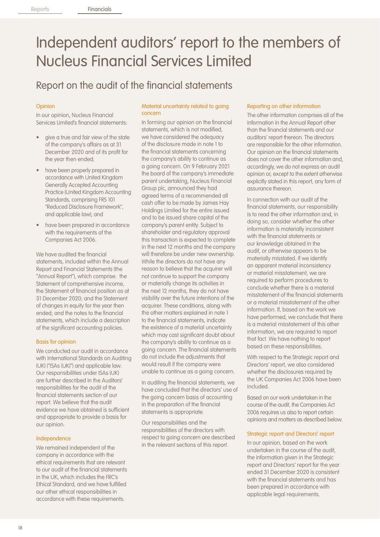# Independent auditors' report to the members of Nucleus Financial Services Limited

# Report on the audit of the financial statements

#### Opinion

In our opinion, Nucleus Financial Services Limited's financial statements:

- aive a true and fair view of the state of the company's affairs as at 31 December 2020 and of its profit for the year then ended;
- have been properly prepared in accordance with United Kingdom Generally Accepted Accounting Practice (United Kingdom Accounting Standards, comprising FRS 101 "Reduced Disclosure Framework", and applicable law); and
- have been prepared in accordance with the requirements of the Companies Act 2006.

We have audited the financial statements, included within the Annual Report and Financial Statements (the "Annual Report"), which comprise: the Statement of comprehensive income, the Statement of financial position as at 31 December 2020; and the Statement of changes in equity for the year then ended; and the notes to the financial statements, which include a description of the significant accounting policies.

#### Basis for opinion

We conducted our audit in accordance with International Standards on Auditing (UK) ("ISAs (UK)") and applicable law. Our responsibilities under ISAs (UK) are further described in the Auditors' responsibilities for the audit of the financial statements section of our report. We believe that the audit evidence we have obtained is sufficient and appropriate to provide a basis for our opinion.

#### Independence

We remained independent of the company in accordance with the ethical requirements that are relevant to our audit of the financial statements in the UK, which includes the FRC's Ethical Standard, and we have fulfilled our other ethical responsibilities in accordance with these requirements.

#### Material uncertainty related to going concern

In forming our opinion on the financial statements, which is not modified, we have considered the adequacy of the disclosure made in note 1 to the financial statements concerning the company's ability to continue as a going concern. On 9 February 2021 the board of the company's immediate parent undertaking, Nucleus Financial Group plc, announced they had agreed terms of a recommended all cash offer to be made by James Hay Holdings Limited for the entire issued and to be issued share capital of the company's parent entity. Subject to shareholder and regulatory approval this transaction is expected to complete in the next 12 months and the company will therefore be under new ownership. While the directors do not have any reason to believe that the acquirer will not continue to support the company or materially change its activities in the next 12 months, they do not have visibility over the future intentions of the acquirer. These conditions, along with the other matters explained in note 1 to the financial statements, indicate the existence of a material uncertainty which may cast significant doubt about the company's ability to continue as a going concern. The financial statements do not include the adjustments that would result if the company were unable to continue as a going concern.

In auditing the financial statements, we have concluded that the directors' use of the going concern basis of accounting in the preparation of the financial statements is appropriate.

Our responsibilities and the responsibilities of the directors with respect to going concern are described in the relevant sections of this report.

#### Reporting on other information

The other information comprises all of the information in the Annual Report other than the financial statements and our auditors' report thereon. The directors are responsible for the other information. Our opinion on the financial statements does not cover the other information and, accordingly, we do not express an audit opinion or, except to the extent otherwise explicitly stated in this report, any form of assurance thereon.

In connection with our audit of the financial statements, our responsibility is to read the other information and, in doing so, consider whether the other information is materially inconsistent with the financial statements or our knowledge obtained in the audit, or otherwise appears to be materially misstated. If we identify an apparent material inconsistency or material misstatement, we are required to perform procedures to conclude whether there is a material misstatement of the financial statements or a material misstatement of the other information. If, based on the work we have performed, we conclude that there is a material misstatement of this other information, we are required to report that fact. We have nothing to report based on these responsibilities.

With respect to the Strategic report and Directors' report, we also considered whether the disclosures required by the UK Companies Act 2006 have been included.

Based on our work undertaken in the course of the audit, the Companies Act 2006 requires us also to report certain opinions and matters as described below.

#### Strategic report and Directors' report

In our opinion, based on the work undertaken in the course of the audit, the information given in the Strategic report and Directors' report for the year ended 31 December 2020 is consistent with the financial statements and has been prepared in accordance with applicable legal requirements.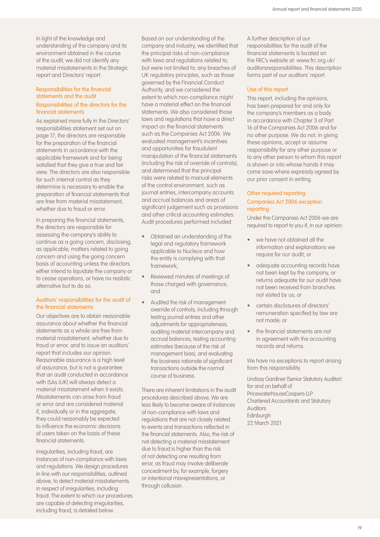In light of the knowledge and understanding of the company and its environment obtained in the course of the audit, we did not identify any material misstatements in the Strategic report and Directors' report.

#### Responsibilities for the financial statements and the audit Responsibilities of the directors for the financial statements

As explained more fully in the Directors' responsibilities statement set out on page 17, the directors are responsible for the preparation of the financial statements in accordance with the applicable framework and for being satisfied that they give a true and fair view. The directors are also responsible for such internal control as they determine is necessary to enable the preparation of financial statements that are free from material misstatement, whether due to fraud or error.

In preparing the financial statements, the directors are responsible for assessing the company's ability to continue as a going concern, disclosing, as applicable, matters related to going concern and using the going concern basis of accounting unless the directors either intend to liquidate the company or to cease operations, or have no realistic alternative but to do so.

#### Auditors' responsibilities for the audit of the financial statements

Our objectives are to obtain reasonable assurance about whether the financial statements as a whole are free from material misstatement, whether due to fraud or error, and to issue an auditors' report that includes our opinion. Reasonable assurance is a high level of assurance, but is not a guarantee that an audit conducted in accordance with ISAs (UK) will always detect a material misstatement when it exists. Misstatements can arise from fraud or error and are considered material if, individually or in the aggregate, they could reasonably be expected to influence the economic decisions of users taken on the basis of these financial statements.

Irregularities, including fraud, are instances of non-compliance with laws and regulations. We design procedures in line with our responsibilities, outlined above, to detect material misstatements in respect of irregularities, including fraud. The extent to which our procedures are capable of detecting irregularities, including fraud, is detailed below.

Based on our understanding of the company and industry, we identified that the principal risks of non-compliance with laws and regulations related to, but were not limited to; any breaches of UK regulatory principles, such as those governed by the Financial Conduct Authority, and we considered the extent to which non-compliance might have a material effect on the financial statements. We also considered those laws and regulations that have a direct impact on the financial statements such as the Companies Act 2006. We evaluated management's incentives and opportunities for fraudulent manipulation of the financial statements (including the risk of override of controls), and determined that the principal risks were related to manual elements of the control environment, such as journal entries, intercompany accounts and accrual balances and areas of significant judgement such as provisions and other critical accounting estimates. Audit procedures performed included:

- Obtained an understanding of the legal and regulatory framework applicable to Nucleus and how the entity is complying with that framework;
- Reviewed minutes of meetings of those charged with governance; and
- Audited the risk of management override of controls, including through testing journal entries and other adjustments for appropriateness, auditing material intercompany and accrual balances, testing accounting estimates (because of the risk of management bias), and evaluating the business rationale of significant transactions outside the normal course of business.

There are inherent limitations in the audit procedures described above. We are less likely to become aware of instances of non-compliance with laws and regulations that are not closely related to events and transactions reflected in the financial statements. Also, the risk of not detecting a material misstatement due to fraud is higher than the risk of not detecting one resulting from error, as fraud may involve deliberate concealment by, for example, forgery or intentional misrepresentations, or through collusion.

A further description of our responsibilities for the audit of the financial statements is located on the FRC's website at: www.frc.org.uk/ auditorsresponsibilities. This description forms part of our auditors' report.

#### Use of this report

This report, including the opinions, has been prepared for and only for the company's members as a body in accordance with Chapter 3 of Part 16 of the Companies Act 2006 and for no other purpose. We do not, in giving these opinions, accept or assume responsibility for any other purpose or to any other person to whom this report is shown or into whose hands it may come save where expressly agreed by our prior consent in writing.

#### Other required reporting

#### Companies Act 2006 exception reporting

Under the Companies Act 2006 we are required to report to you if, in our opinion:

- we have not obtained all the information and explanations we require for our audit; or
- adequate accounting records have not been kept by the company, or returns adequate for our audit have not been received from branches not visited by us; or
- certain disclosures of directors' remuneration specified by law are not made; or
- the financial statements are not in agreement with the accounting records and returns.

We have no exceptions to report arising from this responsibility.

Lindsay Gardiner (Senior Statutory Auditor) for and on behalf of PricewaterhouseCoopers LLP Chartered Accountants and Statutory Auditors Edinburgh 22 March 2021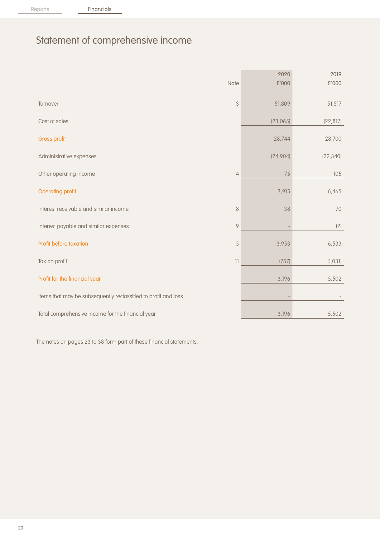Reports **Financials** 

# Statement of comprehensive income

|                                                                |                                       | 2020     | 2019      |
|----------------------------------------------------------------|---------------------------------------|----------|-----------|
|                                                                | Note                                  | £'000    | £'000     |
|                                                                |                                       |          |           |
| Turnover                                                       | $\mathfrak{B}$                        | 51,809   | 51,517    |
|                                                                |                                       |          |           |
| Cost of sales                                                  |                                       | (23,065) | (22, 817) |
|                                                                |                                       |          |           |
| Gross profit                                                   |                                       | 28,744   | 28,700    |
| Administrative expenses                                        |                                       | (24,904) | (22, 340) |
|                                                                |                                       |          |           |
| Other operating income                                         | $\overline{4}$                        | 75       | 105       |
|                                                                |                                       |          |           |
| <b>Operating profit</b>                                        |                                       | 3,915    | 6,465     |
|                                                                |                                       |          |           |
| Interest receivable and similar income                         | $\,8\,$                               | 38       | 70        |
|                                                                | $\mathcal{Q}$                         |          |           |
| Interest payable and similar expenses                          |                                       |          | (2)       |
| Profit before taxation                                         | 5                                     | 3,953    | 6,533     |
|                                                                |                                       |          |           |
| Tax on profit                                                  | $\begin{array}{c} \hline \end{array}$ | (757)    | (1,031)   |
|                                                                |                                       |          |           |
| Profit for the financial year                                  |                                       | 3,196    | 5,502     |
|                                                                |                                       |          |           |
| Items that may be subsequently reclassified to profit and loss |                                       |          |           |
|                                                                |                                       |          |           |
| Total comprehensive income for the financial year              |                                       | 3,196    | 5,502     |

The notes on pages 23 to 38 form part of these financial statements.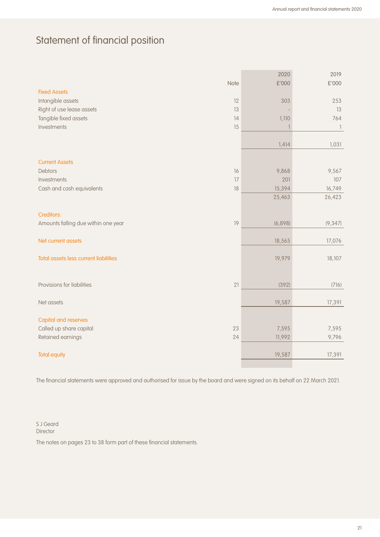# Statement of financial position

|                                           |         | 2019                     |
|-------------------------------------------|---------|--------------------------|
| Note                                      | £'000   | £'000                    |
| <b>Fixed Assets</b>                       |         |                          |
| Intangible assets<br>12                   | 303     | 253                      |
| Right of use lease assets<br>13           |         | 13                       |
| Tangible fixed assets<br>14               | 1,110   | 764                      |
| Investments<br>15                         |         | $\overline{\phantom{a}}$ |
|                                           |         |                          |
|                                           | 1,414   | 1,031                    |
|                                           |         |                          |
| <b>Current Assets</b>                     |         |                          |
| <b>Debtors</b><br>16                      | 9,868   | 9,567                    |
| Investments<br>17                         | 201     | 107                      |
| Cash and cash equivalents<br>18           | 15,394  | 16,749                   |
|                                           | 25,463  | 26,423                   |
|                                           |         |                          |
| Creditors:                                |         |                          |
| Amounts falling due within one year<br>19 | (6,898) | (9, 347)                 |
|                                           |         |                          |
| Net current assets                        | 18,565  | 17,076                   |
|                                           |         |                          |
| Total assets less current liabilities     | 19,979  | 18,107                   |
|                                           |         |                          |
|                                           |         |                          |
| Provisions for liabilities<br>21          | (392)   | (716)                    |
|                                           |         |                          |
| Net assets                                | 19,587  | 17,391                   |
|                                           |         |                          |
| <b>Capital and reserves</b>               |         |                          |
| Called up share capital<br>23             | 7,595   | 7,595                    |
| Retained earnings<br>24                   | 11,992  | 9,796                    |
|                                           |         |                          |
| <b>Total equity</b>                       | 19,587  | 17,391                   |

The financial statements were approved and authorised for issue by the board and were signed on its behalf on 22 March 2021.

S J Geard **Director** 

The notes on pages 23 to 38 form part of these financial statements.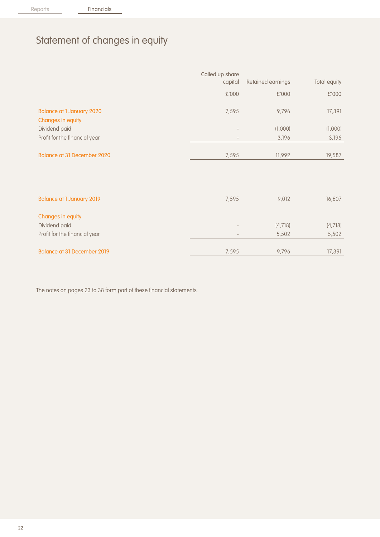# Statement of changes in equity

|                                                       | Called up share<br>capital | Retained earnings | Total equity |
|-------------------------------------------------------|----------------------------|-------------------|--------------|
|                                                       | £'000                      | £'000             | £'000        |
| <b>Balance at 1 January 2020</b><br>Changes in equity | 7,595                      | 9,796             | 17,391       |
| Dividend paid                                         |                            | (1,000)           | (1,000)      |
| Profit for the financial year                         |                            | 3,196             | 3,196        |
| <b>Balance at 31 December 2020</b>                    | 7,595                      | 11,992            | 19,587       |
| <b>Balance at 1 January 2019</b>                      | 7,595                      | 9,012             | 16,607       |
| Changes in equity                                     |                            |                   |              |
| Dividend paid                                         |                            | (4, 718)          | (4,718)      |
| Profit for the financial year                         | $\overline{\phantom{a}}$   | 5,502             | 5,502        |

Balance at 31 December 2019 **80** 17,595 9,796 17,391

The notes on pages 23 to 38 form part of these financial statements.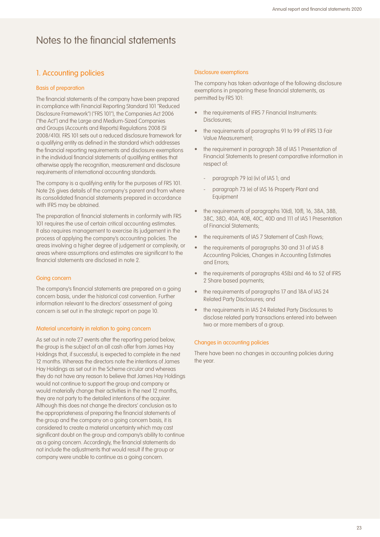## 1. Accounting policies

#### Basis of preparation

The financial statements of the company have been prepared in compliance with Financial Reporting Standard 101 "Reduced Disclosure Framework") ("FRS 101"), the Companies Act 2006 ("the Act") and the Large and Medium-Sized Companies and Groups (Accounts and Reports) Regulations 2008 (SI 2008/410). FRS 101 sets out a reduced disclosure framework for a qualifying entity as defined in the standard which addresses the financial reporting requirements and disclosure exemptions in the individual financial statements of qualifying entities that otherwise apply the recognition, measurement and disclosure requirements of international accounting standards.

The company is a qualifying entity for the purposes of FRS 101. Note 26 gives details of the company's parent and from where its consolidated financial statements prepared in accordance with IFRS may be obtained.

The preparation of financial statements in conformity with FRS 101 requires the use of certain critical accounting estimates. It also requires management to exercise its judgement in the process of applying the company's accounting policies. The areas involving a higher degree of judgement or complexity, or areas where assumptions and estimates are significant to the financial statements are disclosed in note 2.

#### Going concern

The company's financial statements are prepared on a going concern basis, under the historical cost convention. Further information relevant to the directors' assessment of going concern is set out in the strategic report on page 10.

#### Material uncertainty in relation to going concern

As set out in note 27 events after the reporting period below. the group is the subject of an all cash offer from James Hay Holdings that, if successful, is expected to complete in the next 12 months. Whereas the directors note the intentions of James Hay Holdings as set out in the Scheme circular and whereas they do not have any reason to believe that James Hay Holdings would not continue to support the group and company or would materially change their activities in the next 12 months, they are not party to the detailed intentions of the acquirer. Although this does not change the directors' conclusion as to the appropriateness of preparing the financial statements of the group and the company on a going concern basis, it is considered to create a material uncertainty which may cast significant doubt on the group and company's ability to continue as a going concern. Accordingly, the financial statements do not include the adjustments that would result if the group or company were unable to continue as a going concern.

#### Disclosure exemptions

The company has taken advantage of the following disclosure exemptions in preparing these financial statements, as permitted by FRS 101:

- the requirements of IFRS 7 Financial Instruments: Disclosures;
- the requirements of paragraphs 91 to 99 of IFRS 13 Fair Value Measurement;
- the requirement in paragraph 38 of IAS 1 Presentation of Financial Statements to present comparative information in respect of:
	- paragraph 79 (a) (iv) of IAS 1; and
	- paragraph 73 (e) of IAS 16 Property Plant and Equipment
- the requirements of paragraphs 10(d), 10(f), 16, 38A, 38B, 38C, 38D, 40A, 40B, 40C, 40D and 111 of IAS 1 Presentation of Financial Statements;
- the requirements of IAS 7 Statement of Cash Flows;
- the requirements of paragraphs 30 and 31 of IAS 8 Accounting Policies, Changes in Accounting Estimates and Errors;
- the requirements of paragraphs 45(b) and 46 to 52 of IFRS 2 Share based payments;
- the requirements of paragraphs 17 and 18A of IAS 24 Related Party Disclosures; and
- the requirements in IAS 24 Related Party Disclosures to disclose related party transactions entered into between two or more members of a group.

#### Changes in accounting policies

There have been no changes in accounting policies during the year.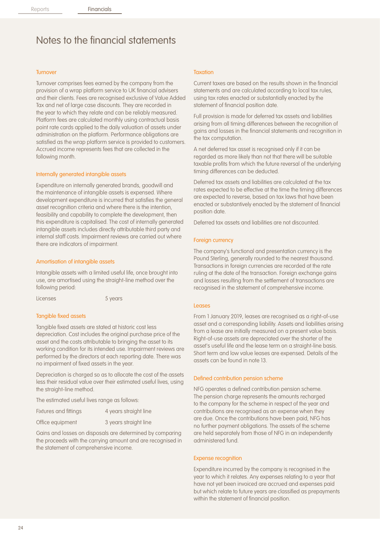#### **Turnover**

Turnover comprises fees earned by the company from the provision of a wrap platform service to UK financial advisers and their clients. Fees are recognised exclusive of Value Added Tax and net of large case discounts. They are recorded in the year to which they relate and can be reliably measured. Platform fees are calculated monthly using contractual basis point rate cards applied to the daily valuation of assets under administration on the platform. Performance obligations are satisfied as the wrap platform service is provided to customers. Accrued income represents fees that are collected in the following month.

#### Internally generated intangible assets

Expenditure on internally generated brands, goodwill and the maintenance of intangible assets is expensed. Where development expenditure is incurred that satisfies the general asset recognition criteria and where there is the intention, feasibility and capability to complete the development, then this expenditure is capitalised. The cost of internally generated intangible assets includes directly attributable third party and internal staff costs. Impairment reviews are carried out where there are indicators of impairment.

#### Amortisation of intangible assets

Intangible assets with a limited useful life, once brought into use, are amortised using the straight-line method over the following period:

Licenses 5 years

#### Tangible fixed assets

Tangible fixed assets are stated at historic cost less depreciation. Cost includes the original purchase price of the asset and the costs attributable to bringing the asset to its working condition for its intended use. Impairment reviews are performed by the directors at each reporting date. There was no impairment of fixed assets in the year.

Depreciation is charged so as to allocate the cost of the assets less their residual value over their estimated useful lives, using the straight-line method.

The estimated useful lives range as follows:

| Fixtures and fittings | 4 years straight line |
|-----------------------|-----------------------|
| Office equipment      | 3 years straight line |

Gains and losses on disposals are determined by comparing the proceeds with the carrying amount and are recognised in the statement of comprehensive income.

#### **Taxation**

Current taxes are based on the results shown in the financial statements and are calculated according to local tax rules, using tax rates enacted or substantially enacted by the statement of financial position date.

Full provision is made for deferred tax assets and liabilities arising from all timing differences between the recognition of gains and losses in the financial statements and recognition in the tax computation.

A net deferred tax asset is recognised only if it can be regarded as more likely than not that there will be suitable taxable profits from which the future reversal of the underlying timing differences can be deducted.

Deferred tax assets and liabilities are calculated at the tax rates expected to be effective at the time the timing differences are expected to reverse, based on tax laws that have been enacted or substantively enacted by the statement of financial position date.

Deferred tax assets and liabilities are not discounted.

#### Foreign currency

The company's functional and presentation currency is the Pound Sterling, generally rounded to the nearest thousand. Transactions in foreign currencies are recorded at the rate ruling at the date of the transaction. Foreign exchange gains and losses resulting from the settlement of transactions are recognised in the statement of comprehensive income.

#### Leases

From 1 January 2019, leases are recognised as a right-of-use asset and a corresponding liability. Assets and liabilities arising from a lease are initially measured on a present value basis. Right-of-use assets are depreciated over the shorter of the asset's useful life and the lease term on a straight-line basis. Short term and low value leases are expensed. Details of the assets can be found in note 13.

#### Defined contribution pension scheme

NFG operates a defined contribution pension scheme. The pension charge represents the amounts recharged to the company for the scheme in respect of the year and contributions are recognised as an expense when they are due. Once the contributions have been paid, NFG has no further payment obligations. The assets of the scheme are held separately from those of NFG in an independently administered fund.

#### Expense recognition

Expenditure incurred by the company is recognised in the year to which it relates. Any expenses relating to a year that have not yet been invoiced are accrued and expenses paid but which relate to future years are classified as prepayments within the statement of financial position.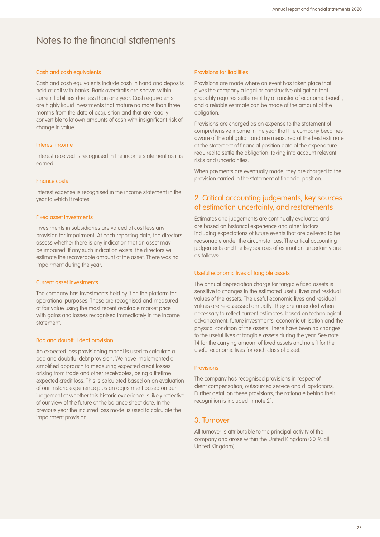#### Cash and cash equivalents

Cash and cash equivalents include cash in hand and deposits held at call with banks. Bank overdrafts are shown within current liabilities due less than one year. Cash equivalents are highly liquid investments that mature no more than three months from the date of acquisition and that are readily convertible to known amounts of cash with insignificant risk of change in value.

#### Interest income

Interest received is recognised in the income statement as it is earned.

#### Finance costs

Interest expense is recognised in the income statement in the year to which it relates.

#### Fixed asset investments

Investments in subsidiaries are valued at cost less any provision for impairment. At each reporting date, the directors assess whether there is any indication that an asset may be impaired. If any such indication exists, the directors will estimate the recoverable amount of the asset. There was no impairment during the year.

#### Current asset investments

The company has investments held by it on the platform for operational purposes. These are recognised and measured at fair value using the most recent available market price with gains and losses recognised immediately in the income statement.

#### Bad and doubtful debt provision

An expected loss provisioning model is used to calculate a bad and doubtful debt provision. We have implemented a simplified approach to measuring expected credit losses arising from trade and other receivables, being a lifetime expected credit loss. This is calculated based on an evaluation of our historic experience plus an adjustment based on our judgement of whether this historic experience is likely reflective of our view of the future at the balance sheet date. In the previous year the incurred loss model is used to calculate the impairment provision.

#### Provisions for liabilities

Provisions are made where an event has taken place that gives the company a legal or constructive obligation that probably requires settlement by a transfer of economic benefit, and a reliable estimate can be made of the amount of the obligation.

Provisions are charged as an expense to the statement of comprehensive income in the year that the company becomes aware of the obligation and are measured at the best estimate at the statement of financial position date of the expenditure required to settle the obligation, taking into account relevant risks and uncertainties.

When payments are eventually made, they are charged to the provision carried in the statement of financial position.

### 2. Critical accounting judgements, key sources of estimation uncertainty, and restatements

Estimates and judgements are continually evaluated and are based on historical experience and other factors, including expectations of future events that are believed to be reasonable under the circumstances. The critical accounting judgements and the key sources of estimation uncertainty are as follows:

#### Useful economic lives of tangible assets

The annual depreciation charge for tangible fixed assets is sensitive to changes in the estimated useful lives and residual values of the assets. The useful economic lives and residual values are re-assessed annually. They are amended when necessary to reflect current estimates, based on technological advancement, future investments, economic utilisation and the physical condition of the assets. There have been no changes to the useful lives of tangible assets during the year. See note 14 for the carrying amount of fixed assets and note 1 for the useful economic lives for each class of asset.

#### Provisions

The company has recognised provisions in respect of client compensation, outsourced service and dilapidations. Further detail on these provisions, the rationale behind their recognition is included in note 21.

#### 3. Turnover

All turnover is attributable to the principal activity of the company and arose within the United Kingdom (2019: all United Kingdom)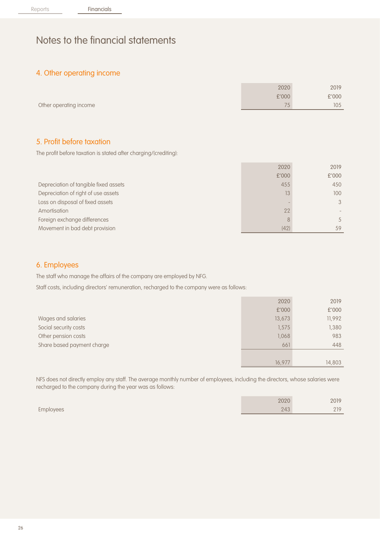### 4. Other operating income

|                        | 2020  | 2019  |
|------------------------|-------|-------|
|                        | £'000 | £'000 |
| Other operating income | 7r    | 105   |

### 5. Profit before taxation

The profit before taxation is stated after charging/(crediting):

|                                       | 2020  | 2019  |
|---------------------------------------|-------|-------|
|                                       | £'000 | £'000 |
| Depreciation of tangible fixed assets | 455   | 450   |
| Depreciation of right of use assets   | 13    | 100   |
| Loss on disposal of fixed assets      |       |       |
| Amortisation                          | 22    |       |
| Foreign exchange differences          | 8     |       |
| Movement in bad debt provision        | (42)  | 59    |

### 6. Employees

The staff who manage the affairs of the company are employed by NFG.

Staff costs, including directors' remuneration, recharged to the company were as follows:

|                            | 2020   | 2019   |
|----------------------------|--------|--------|
|                            | £'000  | £'000  |
| Wages and salaries         | 13,673 | 11,992 |
| Social security costs      | 1,575  | 1,380  |
| Other pension costs        | 1,068  | 983    |
| Share based payment charge | 661    | 448    |
|                            |        |        |
|                            | 16,977 | 14,803 |

NFS does not directly employ any staff. The average monthly number of employees, including the directors, whose salaries were recharged to the company during the year was as follows:

|           | 2020 | 2019          |
|-----------|------|---------------|
| Employees | 243  | 210<br>$\sim$ |
|           |      |               |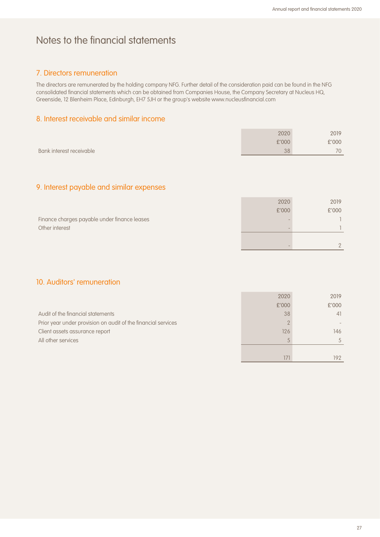171 192

# Notes to the financial statements

### 7. Directors remuneration

The directors are remunerated by the holding company NFG. Further detail of the consideration paid can be found in the NFG consolidated financial statements which can be obtained from Companies House, the Company Secretary at Nucleus HQ, Greenside, 12 Blenheim Place, Edinburgh, EH7 5JH or the group's website www.nucleusfinancial.com

### 8. Interest receivable and similar income

|                          | 2020  | 2019         |
|--------------------------|-------|--------------|
|                          | £'000 | £'000        |
| Bank interest receivable | 38    | $70^{\circ}$ |

## 9. Interest payable and similar expenses

|                                              | 2020  | 2019  |
|----------------------------------------------|-------|-------|
|                                              | £'000 | £'000 |
| Finance charges payable under finance leases |       |       |
| Other interest                               |       |       |
|                                              |       |       |
|                                              |       |       |

### 10. Auditors' remuneration

|                                                               | 2020     | 2019  |
|---------------------------------------------------------------|----------|-------|
|                                                               | £'000    | £'000 |
| Audit of the financial statements                             | 38       | 41    |
| Prior year under provision on audit of the financial services | $\Omega$ |       |
| Client assets assurance report                                | 126      | 146   |
| All other services                                            |          | 5.    |
|                                                               |          |       |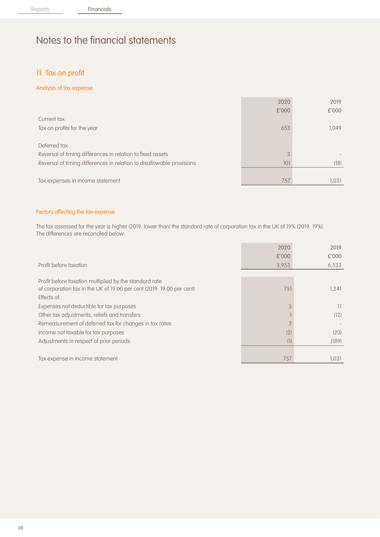## 11. Tax on profit

#### Analysis of tax expense

|                                                                       | 2020  | 2019  |
|-----------------------------------------------------------------------|-------|-------|
|                                                                       | £'000 | £'000 |
| Current tax:                                                          |       |       |
| Tax on profits for the year                                           | 653   | 1,049 |
|                                                                       |       |       |
| Deferred tax:                                                         |       |       |
| Reversal of timing differences in relation to fixed assets            | 3     |       |
| Reversal of timing differences in relation to disallowable provisions | 101   | (18)  |
|                                                                       |       |       |
| Tax expenses in income statement                                      | 757   | 1.031 |

#### Factors affecting the tax expense

The tax assessed for the year is higher (2019: lower than) the standard rate of corporation tax in the UK of 19% (2019: 19%). The differences are reconciled below:

|                                                                       | 2020  | 2019  |
|-----------------------------------------------------------------------|-------|-------|
|                                                                       | £'000 | £'000 |
| Profit before taxation                                                | 3,953 | 6,533 |
|                                                                       |       |       |
| Profit before taxation multiplied by the standard rate                |       |       |
| of corporation tax in the UK of 19.00 per cent (2019: 19.00 per cent) | 751   | 1.241 |
| Effects of:                                                           |       |       |
| Expenses not deductible for tax purposes                              |       | 11    |
| Other tax adjustments, reliefs and transfers                          |       | (12)  |
| Remeasurement of deferred tax for changes in tax rates                |       |       |
| Income not taxable for tax purposes                                   | (2)   | (20)  |
| Adjustments in respect of prior periods                               | (1)   | (189) |
|                                                                       |       |       |
| Tax expense in income statement                                       | 757   | 1.031 |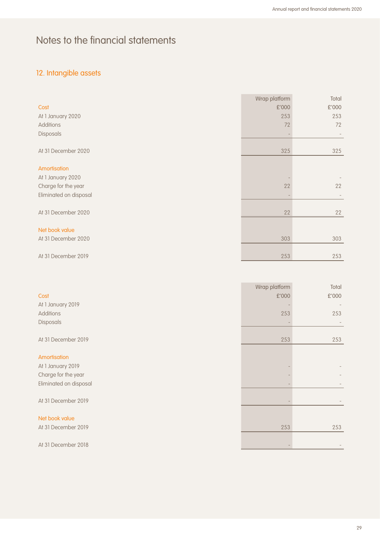# 12. Intangible assets

|                        | Wrap platform | Total |
|------------------------|---------------|-------|
| Cost                   | £'000         | £'000 |
| At 1 January 2020      | 253           | 253   |
| Additions              | 72            | 72    |
| Disposals              |               |       |
|                        |               |       |
| At 31 December 2020    | 325           | 325   |
|                        |               |       |
| Amortisation           |               |       |
| At 1 January 2020      |               |       |
| Charge for the year    | 22            | 22    |
| Eliminated on disposal |               |       |
|                        |               |       |
| At 31 December 2020    | 22            | 22    |
|                        |               |       |
| Net book value         |               |       |
| At 31 December 2020    | 303           | 303   |
|                        |               |       |
| At 31 December 2019    | 253           | 253   |

|                        | Wrap platform | Total |
|------------------------|---------------|-------|
| Cost                   | £'000         | £'000 |
| At 1 January 2019      |               |       |
| Additions              | 253           | 253   |
| Disposals              |               |       |
|                        |               |       |
| At 31 December 2019    | 253           | 253   |
|                        |               |       |
| Amortisation           |               |       |
| At 1 January 2019      |               |       |
| Charge for the year    |               |       |
| Eliminated on disposal |               |       |
|                        |               |       |
| At 31 December 2019    |               |       |
|                        |               |       |
| Net book value         |               |       |
| At 31 December 2019    | 253           | 253   |
|                        |               |       |
| At 31 December 2018    |               |       |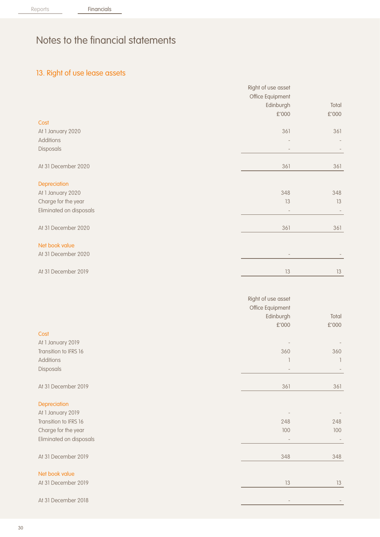# 13. Right of use lease assets

|                                            | Right of use asset |                |
|--------------------------------------------|--------------------|----------------|
|                                            | Office Equipment   |                |
|                                            | Edinburgh          | Total          |
|                                            | £'000              | $£'000$        |
| Cost                                       |                    |                |
| At 1 January 2020                          | 361                | 361            |
| Additions                                  |                    |                |
| Disposals                                  |                    |                |
|                                            |                    |                |
| At 31 December 2020                        | 361                | 361            |
| Depreciation                               |                    |                |
| At 1 January 2020                          | 348                | 348            |
| Charge for the year                        | 13                 | 13             |
| Eliminated on disposals                    |                    |                |
| At 31 December 2020                        | 361                | 361            |
| Net book value                             |                    |                |
| At 31 December 2020                        |                    |                |
| At 31 December 2019                        | 13                 | $13\,$         |
|                                            | Right of use asset |                |
|                                            | Office Equipment   |                |
|                                            | Edinburgh          | Total          |
|                                            | £'000              | $\pounds$ '000 |
| Cost                                       |                    |                |
|                                            |                    |                |
| At 1 January 2019<br>Transition to IFRS 16 |                    |                |
|                                            | 360                | 360            |
| Additions<br>Disposals                     | 1                  | $\overline{1}$ |
|                                            |                    |                |
| At 31 December 2019                        | 361                | 361            |
| Depreciation                               |                    |                |
| At 1 January 2019                          |                    |                |
| Transition to IFRS 16                      | 248                | 248            |
| Charge for the year                        | 100                | 100            |
| Eliminated on disposals                    |                    |                |
| At 31 December 2019                        | 348                | 348            |
| Net book value                             |                    |                |
| At 31 December 2019                        | 13                 | 13             |
| At 31 December 2018                        |                    |                |
|                                            |                    |                |

30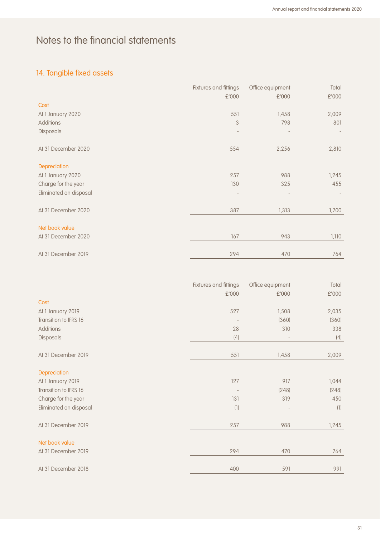# 14. Tangible fixed assets

|                        | Fixtures and fittings    | Office equipment         | Total |
|------------------------|--------------------------|--------------------------|-------|
|                        | £'000                    | £'000                    | £'000 |
| Cost                   |                          |                          |       |
| At 1 January 2020      | 551                      | 1,458                    | 2,009 |
| <b>Additions</b>       | 3                        | 798                      | 801   |
| Disposals              | $\overline{\phantom{a}}$ | $\overline{\phantom{a}}$ |       |
| At 31 December 2020    | 554                      | 2,256                    | 2,810 |
| Depreciation           |                          |                          |       |
| At 1 January 2020      | 257                      | 988                      | 1,245 |
| Charge for the year    | 130                      | 325                      | 455   |
| Eliminated on disposal |                          |                          |       |
| At 31 December 2020    | 387                      | 1,313                    | 1,700 |
| Net book value         |                          |                          |       |
| At 31 December 2020    | 167                      | 943                      | 1,110 |
| At 31 December 2019    | 294                      | 470                      | 764   |

|                        | Fixtures and fittings | Office equipment | Total |
|------------------------|-----------------------|------------------|-------|
|                        | £'000                 | £'000            | £'000 |
| Cost                   |                       |                  |       |
| At 1 January 2019      | 527                   | 1,508            | 2,035 |
| Transition to IFRS 16  |                       | (360)            | (360) |
| Additions              | 28                    | 310              | 338   |
| Disposals              | (4)                   |                  | (4)   |
| At 31 December 2019    | 551                   | 1,458            | 2,009 |
| Depreciation           |                       |                  |       |
| At 1 January 2019      | 127                   | 917              | 1,044 |
| Transition to IFRS 16  |                       | (248)            | (248) |
| Charge for the year    | 131                   | 319              | 450   |
| Eliminated on disposal | (1)                   |                  | (1)   |
| At 31 December 2019    | 257                   | 988              | 1,245 |
| Net book value         |                       |                  |       |
| At 31 December 2019    | 294                   | 470              | 764   |
| At 31 December 2018    | 400                   | 591              | 991   |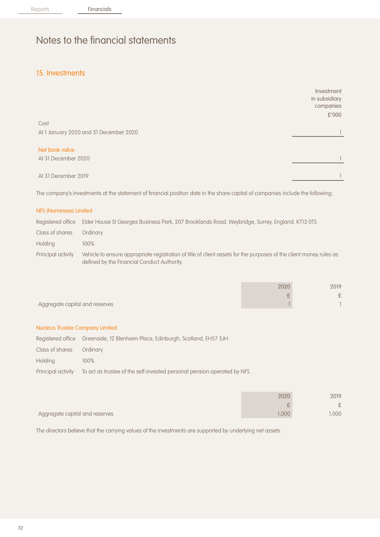## 15. Investments

|                                        | Investment<br>in subsidiary<br>companies<br>£'000 |
|----------------------------------------|---------------------------------------------------|
| Cost                                   |                                                   |
| At 1 January 2020 and 31 December 2020 |                                                   |
| Net book value                         |                                                   |
| At 31 December 2020                    |                                                   |
| At 31 December 2019                    |                                                   |

The company's investments at the statement of financial position date in the share capital of companies include the following:

#### NFS (Nominees) Limited

|                    | Registered office Elder House St Georges Business Park, 207 Brooklands Road, Weybridge, Surrey, England, KT13 0TS                                                 |
|--------------------|-------------------------------------------------------------------------------------------------------------------------------------------------------------------|
| Class of shares    | Ordinary                                                                                                                                                          |
| Holding            | $100\%$                                                                                                                                                           |
| Principal activity | Vehicle to ensure appropriate registration of title of client assets for the purposes of the client money rules as<br>defined by the Financial Conduct Authority. |

|                                | 2020    | 2019   |
|--------------------------------|---------|--------|
|                                | oligan. | $\sim$ |
| Aggregate capital and reserves |         |        |

#### Nucleus Trustee Company Limited

|                    | Registered office Greenside, 12 Blenheim Place, Edinburgh, Scotland, EH57 5JH |
|--------------------|-------------------------------------------------------------------------------|
| Class of shares    | Ordinary                                                                      |
| Holdina            | $100\%$                                                                       |
| Principal activity | To act as trustee of the self-invested personal pension operated by NFS.      |

|                                | 2020           | 2019 |
|--------------------------------|----------------|------|
|                                | $\mathfrak{D}$ | ς.   |
| Aggregate capital and reserves | .000           | .000 |

The directors believe that the carrying values of the investments are supported by underlying net assets.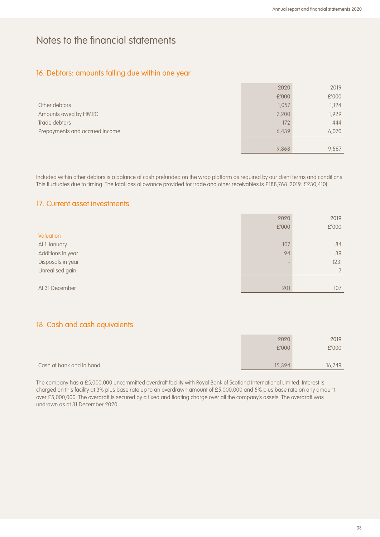## 16. Debtors: amounts falling due within one year

|                                | 2020  | 2019  |
|--------------------------------|-------|-------|
|                                | £'000 | £'000 |
| Other debtors                  | 1,057 | 1.124 |
| Amounts owed by HMRC           | 2,200 | 1,929 |
| Trade debtors                  | 172   | 444   |
| Prepayments and accrued income | 6,439 | 6,070 |
|                                |       |       |
|                                | 9,868 | 9.567 |

Included within other debtors is a balance of cash prefunded on the wrap platform as required by our client terms and conditions. This fluctuates due to timing. The total loss allowance provided for trade and other receivables is £188,768 (2019: £230,410)

### 17. Current asset investments

|                   | 2020  | 2019  |
|-------------------|-------|-------|
|                   | £'000 | £'000 |
| Valuation         |       |       |
| At 1 January      | 107   | 84    |
| Additions in year | 94    | 39    |
| Disposals in year |       | (23)  |
| Unrealised gain   |       |       |
|                   |       |       |
| At 31 December    | 201   | 107   |

## 18. Cash and cash equivalents

|                          | 2020   | 2019   |
|--------------------------|--------|--------|
|                          | £'000  | £'000  |
|                          |        |        |
| Cash at bank and in hand | 15,394 | 16.749 |

The company has a £5,000,000 uncommitted overdraft facility with Royal Bank of Scotland International Limited. Interest is charged on this facility at 3% plus base rate up to an overdrawn amount of £5,000,000 and 5% plus base rate on any amount over £5,000,000. The overdraft is secured by a fixed and floating charge over all the company's assets. The overdraft was undrawn as at 31 December 2020.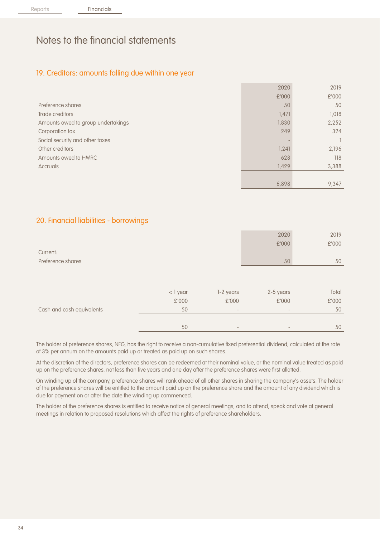### 19. Creditors: amounts falling due within one year

|                                    | 2020  | 2019  |
|------------------------------------|-------|-------|
|                                    | £'000 | £'000 |
| Preference shares                  | 50    | 50    |
| Trade creditors                    | 1,471 | 1,018 |
| Amounts owed to group undertakings | 1,830 | 2,252 |
| Corporation tax                    | 249   | 324   |
| Social security and other taxes    |       |       |
| Other creditors                    | 1,241 | 2,196 |
| Amounts owed to HMRC               | 628   | 118   |
| Accruals                           | 1,429 | 3,388 |
|                                    |       |       |
|                                    | 6,898 | 9,347 |

### 20. Financial liabilities - borrowings

|                           |          |                          | 2020      | 2019  |
|---------------------------|----------|--------------------------|-----------|-------|
|                           |          |                          | £'000     | £'000 |
| Current:                  |          |                          |           |       |
| Preference shares         |          |                          | 50        | 50    |
|                           |          |                          |           |       |
|                           |          |                          |           |       |
|                           | < 1 year | 1-2 years                | 2-5 years | Total |
|                           | £'000    | £'000                    | £'000     | £'000 |
| Cash and cash equivalents | 50       | $\overline{\phantom{a}}$ |           | 50    |
|                           |          |                          |           |       |
|                           | 50       |                          |           | 50    |

The holder of preference shares, NFG, has the right to receive a non-cumulative fixed preferential dividend, calculated at the rate of 3% per annum on the amounts paid up or treated as paid up on such shares.

At the discretion of the directors, preference shares can be redeemed at their nominal value, or the nominal value treated as paid up on the preference shares, not less than five years and one day after the preference shares were first allotted.

On winding up of the company, preference shares will rank ahead of all other shares in sharing the company's assets. The holder of the preference shares will be entitled to the amount paid up on the preference share and the amount of any dividend which is due for payment on or after the date the winding up commenced.

The holder of the preference shares is entitled to receive notice of general meetings, and to attend, speak and vote at general meetings in relation to proposed resolutions which affect the rights of preference shareholders.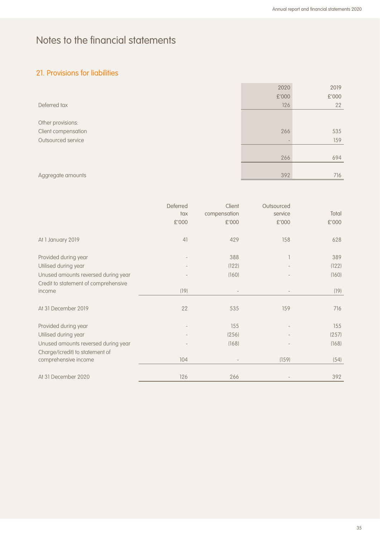# 21. Provisions for liabilities

|                     | 2020  | 2019  |
|---------------------|-------|-------|
|                     | £'000 | £'000 |
| Deferred tax        | 126   | 22    |
|                     |       |       |
| Other provisions:   |       |       |
| Client compensation | 266   | 535   |
| Outsourced service  |       | 159   |
|                     |       |       |
|                     | 266   | 694   |
|                     |       |       |
| Aggregate amounts   | 392   | 716   |

|                                      | Deferred<br>tax<br>£'000 | Client<br>compensation<br>£'000 | Outsourced<br>service<br>£'000 | Total<br>£'000 |
|--------------------------------------|--------------------------|---------------------------------|--------------------------------|----------------|
| At 1 January 2019                    | 41                       | 429                             | 158                            | 628            |
| Provided during year                 |                          | 388                             |                                | 389            |
| Utilised during year                 |                          | (122)                           |                                | (122)          |
| Unused amounts reversed during year  |                          | (160)                           |                                | (160)          |
| Credit to statement of comprehensive |                          |                                 |                                |                |
| income                               | (19)                     |                                 |                                | (19)           |
| At 31 December 2019                  | 22                       | 535                             | 159                            | 716            |
| Provided during year                 |                          | 155                             |                                | 155            |
| Utilised during year                 |                          | (256)                           |                                | (257)          |
| Unused amounts reversed during year  |                          | (168)                           |                                | (168)          |
| Charge/(credit) to statement of      |                          |                                 |                                |                |
| comprehensive income                 | 104                      |                                 | (159)                          | (54)           |
|                                      |                          |                                 |                                |                |
| At 31 December 2020                  | 126                      | 266                             |                                | 392            |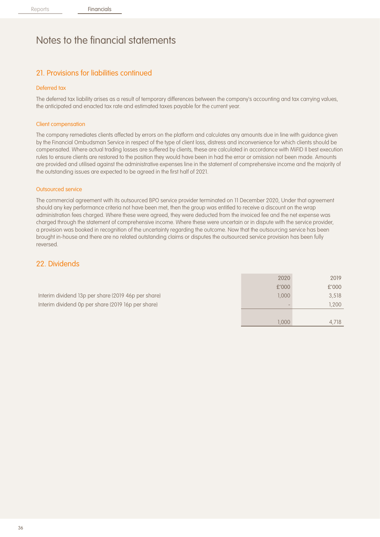## 21. Provisions for liabilities continued

#### Deferred tax

The deferred tax liability arises as a result of temporary differences between the company's accounting and tax carrying values, the anticipated and enacted tax rate and estimated taxes payable for the current year.

#### Client compensation

The company remediates clients affected by errors on the platform and calculates any amounts due in line with guidance given by the Financial Ombudsman Service in respect of the type of client loss, distress and inconvenience for which clients should be compensated. Where actual trading losses are suffered by clients, these are calculated in accordance with MiFID II best execution rules to ensure clients are restored to the position they would have been in had the error or omission not been made. Amounts are provided and utilised against the administrative expenses line in the statement of comprehensive income and the majority of the outstanding issues are expected to be agreed in the first half of 2021.

#### Outsourced service

The commercial agreement with its outsourced BPO service provider terminated on 11 December 2020, Under that agreement should any key performance criteria not have been met, then the group was entitled to receive a discount on the wrap administration fees charged. Where these were agreed, they were deducted from the invoiced fee and the net expense was charged through the statement of comprehensive income. Where these were uncertain or in dispute with the service provider, a provision was booked in recognition of the uncertainty regarding the outcome. Now that the outsourcing service has been brought in-house and there are no related outstanding claims or disputes the outsourced service provision has been fully reversed.

### 22. Dividends

|                                                     | 2020   | 2019  |
|-----------------------------------------------------|--------|-------|
|                                                     | £'000  | £'000 |
| Interim dividend 13p per share (2019 46p per share) | 0.0001 | 3.518 |
| Interim dividend 0p per share (2019 16p per share)  |        | 1.200 |
|                                                     |        |       |

1,000 4,718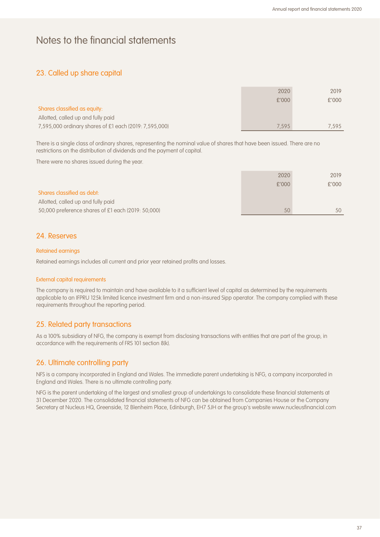## 23. Called up share capital

|                                                        | 2020  | 2019  |
|--------------------------------------------------------|-------|-------|
|                                                        | £'000 | £'000 |
| Shares classified as equity:                           |       |       |
| Allotted, called up and fully paid                     |       |       |
| 7,595,000 ordinary shares of £1 each (2019: 7,595,000) | 7.595 | 7.595 |

There is a single class of ordinary shares, representing the nominal value of shares that have been issued. There are no restrictions on the distribution of dividends and the payment of capital.

There were no shares issued during the year.

|                                                    | 2020  | 2019         |
|----------------------------------------------------|-------|--------------|
|                                                    | £'000 | £'000        |
| Shares classified as debt:                         |       |              |
| Allotted, called up and fully paid                 |       |              |
| 50,000 preference shares of £1 each (2019: 50,000) | 50    | $50^{\circ}$ |

### 24. Reserves

#### Retained earnings

Retained earnings includes all current and prior year retained profits and losses.

#### External capital requirements

The company is required to maintain and have available to it a sufficient level of capital as determined by the requirements applicable to an IFPRU 125k limited licence investment firm and a non-insured Sipp operator. The company complied with these requirements throughout the reporting period.

### 25. Related party transactions

As a 100% subsidiary of NFG, the company is exempt from disclosing transactions with entities that are part of the group, in accordance with the requirements of FRS 101 section 8(k).

### 26. Ultimate controlling party

NFS is a company incorporated in England and Wales. The immediate parent undertaking is NFG, a company incorporated in England and Wales. There is no ultimate controlling party.

NFG is the parent undertaking of the largest and smallest group of undertakings to consolidate these financial statements at 31 December 2020. The consolidated financial statements of NFG can be obtained from Companies House or the Company Secretary at Nucleus HQ, Greenside, 12 Blenheim Place, Edinburgh, EH7 5JH or the group's website www.nucleusfinancial.com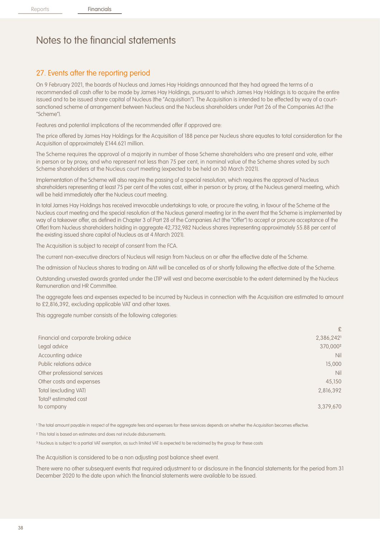# 27. Events after the reporting period

On 9 February 2021, the boards of Nucleus and James Hay Holdings announced that they had agreed the terms of a recommended all cash offer to be made by James Hay Holdings, pursuant to which James Hay Holdings is to acquire the entire issued and to be issued share capital of Nucleus (the "Acquisition"). The Acquisition is intended to be effected by way of a courtsanctioned scheme of arrangement between Nucleus and the Nucleus shareholders under Part 26 of the Companies Act (the "Scheme").

Features and potential implications of the recommended offer if approved are:

The price offered by James Hay Holdings for the Acquisition of 188 pence per Nucleus share equates to total consideration for the Acquisition of approximately £144.621 million.

The Scheme requires the approval of a majority in number of those Scheme shareholders who are present and vote, either in person or by proxy, and who represent not less than 75 per cent, in nominal value of the Scheme shares voted by such Scheme shareholders at the Nucleus court meeting (expected to be held on 30 March 2021).

Implementation of the Scheme will also require the passing of a special resolution, which requires the approval of Nucleus shareholders representing at least 75 per cent of the votes cast, either in person or by proxy, at the Nucleus general meeting, which will be held immediately after the Nucleus court meeting.

In total James Hay Holdings has received irrevocable undertakings to vote, or procure the voting, in favour of the Scheme at the Nucleus court meeting and the special resolution at the Nucleus general meeting (or in the event that the Scheme is implemented by way of a takeover offer, as defined in Chapter 3 of Part 28 of the Companies Act (the "Offer") to accept or procure acceptance of the Offer) from Nucleus shareholders holding in aggregate 42,732,982 Nucleus shares (representing approximately 55.88 per cent of the existing issued share capital of Nucleus as at 4 March 2021).

The Acquisition is subject to receipt of consent from the FCA.

The current non-executive directors of Nucleus will resign from Nucleus on or after the effective date of the Scheme.

The admission of Nucleus shares to trading on AIM will be cancelled as of or shortly following the effective date of the Scheme.

Outstanding unvested awards granted under the LTIP will vest and become exercisable to the extent determined by the Nucleus Remuneration and HR Committee.

The aggregate fees and expenses expected to be incurred by Nucleus in connection with the Acquisition are estimated to amount to £2,816,392, excluding applicable VAT and other taxes.

This aggregate number consists of the following categories:

|                                        | £                    |
|----------------------------------------|----------------------|
| Financial and corporate broking advice | 2,386,2421           |
| Legal advice                           | 370,000 <sup>2</sup> |
| Accounting advice                      | <b>Nil</b>           |
| Public relations advice                | 15,000               |
| Other professional services            | <b>Nil</b>           |
| Other costs and expenses               | 45,150               |
| Total (excluding VAT)                  | 2,816,392            |
| Total <sup>3</sup> estimated cost      |                      |
| to company                             | 3,379,670            |

<sup>1</sup> The total amount payable in respect of the aggregate fees and expenses for these services depends on whether the Acquisition becomes effective.

² This total is based on estimates and does not include disbursements.

<sup>3</sup> Nucleus is subject to a partial VAT exemption, as such limited VAT is expected to be reclaimed by the group for these costs

The Acquisition is considered to be a non adjusting post balance sheet event.

There were no other subsequent events that required adjustment to or disclosure in the financial statements for the period from 31 December 2020 to the date upon which the financial statements were available to be issued.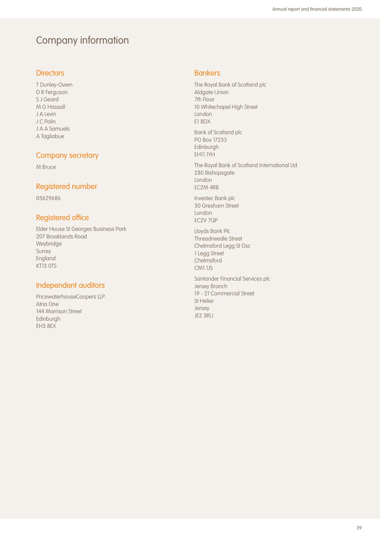# Company information

### **Directors**

T Dunley-Owen D R Ferguson S J Geard M G Hassall J A Levin J C Polin J A A Samuels A Tagliabue

### Company secretary

M Bruce

### Registered number

05629686

## Registered office

Elder House St Georges Business Park 207 Brooklands Road Weybridge Surrey England KT13 0TS

## Independent auditors

PricewaterhouseCoopers LLP Atria One 144 Morrison Street Edinburgh EH3 8EX

### Bankers

The Royal Bank of Scotland plc Aldgate Union 7th Floor 10 Whitechapel High Street London E1 8DX

Bank of Scotland plc PO Box 17235 Edinburgh EH11 1YH

The Royal Bank of Scotland International Ltd 280 Bishopsgate London EC2M 4RB

Investec Bank plc 30 Gresham Street London EC2V 7QP

Lloyds Bank Plc Threadneedle Street Chelmsford Legg St Osc 1 Legg Street **Chelmsford** CM1 1JS

Santander Financial Services plc Jersey Branch 19 - 21 Commercial Street St Helier Jersey JE2 3RU